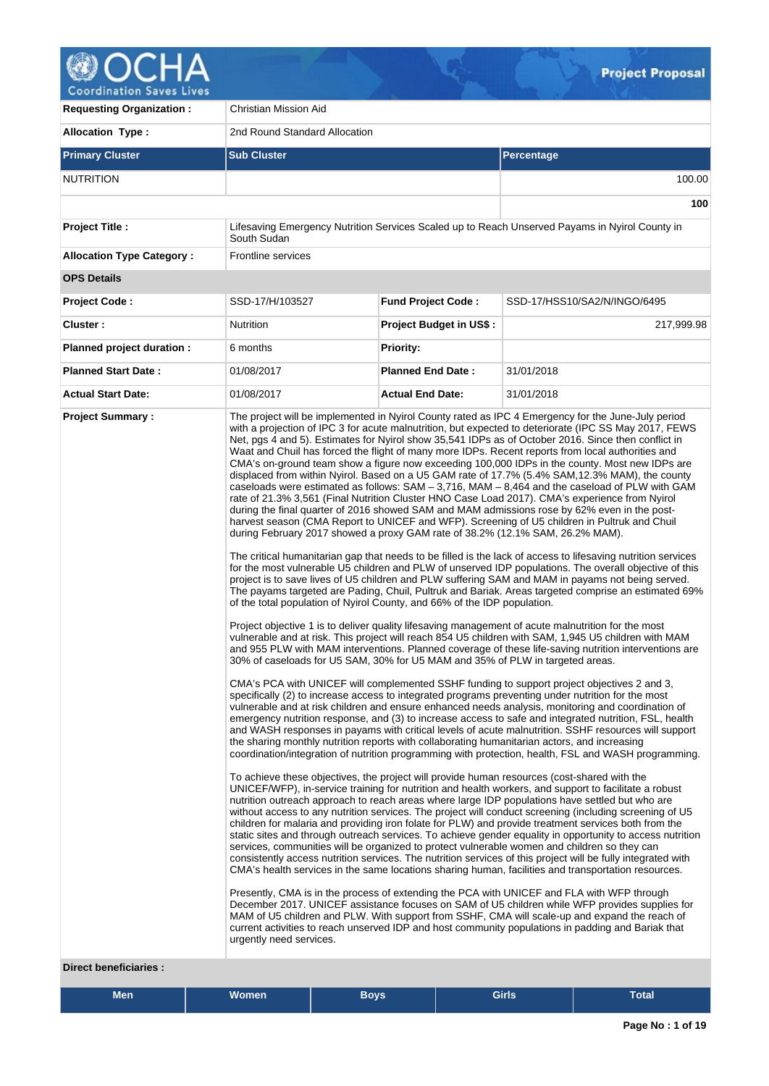

**Requesting Organization :** Christian Mission Aid **Allocation Type :** 2nd Round Standard Allocation **Primary Cluster Sub Cluster Sub Cluster** Sub Cluster Sub Cluster Sub Cluster Sub Cluster Sub Cluster Sub Cluster NUTRITION 100.00 **100 Project Title :** Lifesaving Emergency Nutrition Services Scaled up to Reach Unserved Payams in Nyirol County in South Sudan **Allocation Type Category :** Frontline services **OPS Details Project Code :** SSD-17/H/103527 **Fund Project Code :** SSD-17/HSS10/SA2/N/INGO/6495 **Cluster :** 217,999.98 Nutrition **Project Budget in US\$ :** 217,999.98 **Planned project duration :** 6 months **Planned Priority: Planned Start Date :** 01/08/2017 **Planned End Date :** 31/01/2018 **Actual Start Date:** 01/08/2017 **Actual End Date:** 31/01/2018 **Project Summary :** The project will be implemented in Nyirol County rated as IPC 4 Emergency for the June-July period with a projection of IPC 3 for acute malnutrition, but expected to deteriorate (IPC SS May 2017, FEWS Net, pgs 4 and 5). Estimates for Nyirol show 35,541 IDPs as of October 2016. Since then conflict in Waat and Chuil has forced the flight of many more IDPs. Recent reports from local authorities and CMA's on-ground team show a figure now exceeding 100,000 IDPs in the county. Most new IDPs are displaced from within Nyirol. Based on a U5 GAM rate of 17.7% (5.4% SAM,12.3% MAM), the county caseloads were estimated as follows: SAM – 3,716, MAM – 8,464 and the caseload of PLW with GAM rate of 21.3% 3,561 (Final Nutrition Cluster HNO Case Load 2017). CMA's experience from Nyirol during the final quarter of 2016 showed SAM and MAM admissions rose by 62% even in the postharvest season (CMA Report to UNICEF and WFP). Screening of U5 children in Pultruk and Chuil during February 2017 showed a proxy GAM rate of 38.2% (12.1% SAM, 26.2% MAM). The critical humanitarian gap that needs to be filled is the lack of access to lifesaving nutrition services for the most vulnerable U5 children and PLW of unserved IDP populations. The overall objective of this project is to save lives of U5 children and PLW suffering SAM and MAM in payams not being served. The payams targeted are Pading, Chuil, Pultruk and Bariak. Areas targeted comprise an estimated 69% of the total population of Nyirol County, and 66% of the IDP population. Project objective 1 is to deliver quality lifesaving management of acute malnutrition for the most vulnerable and at risk. This project will reach 854 U5 children with SAM, 1,945 U5 children with MAM and 955 PLW with MAM interventions. Planned coverage of these life-saving nutrition interventions are 30% of caseloads for U5 SAM, 30% for U5 MAM and 35% of PLW in targeted areas. CMA's PCA with UNICEF will complemented SSHF funding to support project objectives 2 and 3, specifically (2) to increase access to integrated programs preventing under nutrition for the most vulnerable and at risk children and ensure enhanced needs analysis, monitoring and coordination of emergency nutrition response, and (3) to increase access to safe and integrated nutrition, FSL, health and WASH responses in payams with critical levels of acute malnutrition. SSHF resources will support the sharing monthly nutrition reports with collaborating humanitarian actors, and increasing coordination/integration of nutrition programming with protection, health, FSL and WASH programming. To achieve these objectives, the project will provide human resources (cost-shared with the UNICEF/WFP), in-service training for nutrition and health workers, and support to facilitate a robust nutrition outreach approach to reach areas where large IDP populations have settled but who are without access to any nutrition services. The project will conduct screening (including screening of U5 children for malaria and providing iron folate for PLW) and provide treatment services both from the static sites and through outreach services. To achieve gender equality in opportunity to access nutrition services, communities will be organized to protect vulnerable women and children so they can consistently access nutrition services. The nutrition services of this project will be fully integrated with CMA's health services in the same locations sharing human, facilities and transportation resources. Presently, CMA is in the process of extending the PCA with UNICEF and FLA with WFP through December 2017. UNICEF assistance focuses on SAM of U5 children while WFP provides supplies for MAM of U5 children and PLW. With support from SSHF, CMA will scale-up and expand the reach of current activities to reach unserved IDP and host community populations in padding and Bariak that urgently need services.

# **Direct beneficiaries :**

| <b>Men</b> | Nomen , | Bovs | Girls | <b>Total</b> |
|------------|---------|------|-------|--------------|
|            |         |      |       |              |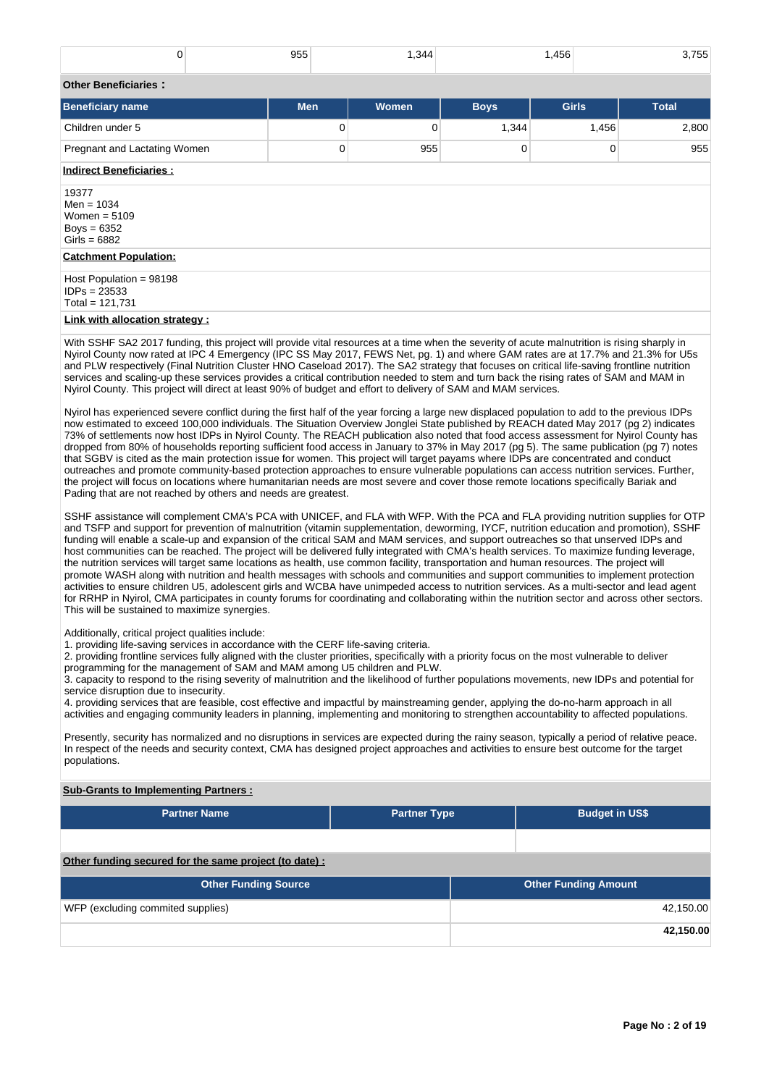| 0                                                                                                                                                                                                                                                                                                                                                                                                                                  | 955        | 1,344 |             | 1,456 | 3,755        |  |  |  |  |  |
|------------------------------------------------------------------------------------------------------------------------------------------------------------------------------------------------------------------------------------------------------------------------------------------------------------------------------------------------------------------------------------------------------------------------------------|------------|-------|-------------|-------|--------------|--|--|--|--|--|
| <b>Other Beneficiaries:</b>                                                                                                                                                                                                                                                                                                                                                                                                        |            |       |             |       |              |  |  |  |  |  |
| <b>Beneficiary name</b>                                                                                                                                                                                                                                                                                                                                                                                                            | <b>Men</b> | Women | <b>Boys</b> | Girls | <b>Total</b> |  |  |  |  |  |
| Children under 5                                                                                                                                                                                                                                                                                                                                                                                                                   | 0          | 0     | 1,344       | 1,456 | 2,800        |  |  |  |  |  |
| Pregnant and Lactating Women                                                                                                                                                                                                                                                                                                                                                                                                       | 0          | 955   | 0           | 0     | 955          |  |  |  |  |  |
| <b>Indirect Beneficiaries:</b>                                                                                                                                                                                                                                                                                                                                                                                                     |            |       |             |       |              |  |  |  |  |  |
| 19377<br>Men = $1034$<br>Women = $5109$<br>Boys = $6352$<br>Girls = $6882$                                                                                                                                                                                                                                                                                                                                                         |            |       |             |       |              |  |  |  |  |  |
| <b>Catchment Population:</b>                                                                                                                                                                                                                                                                                                                                                                                                       |            |       |             |       |              |  |  |  |  |  |
| Host Population = $98198$<br>$IDPs = 23533$<br>Total = $121,731$                                                                                                                                                                                                                                                                                                                                                                   |            |       |             |       |              |  |  |  |  |  |
| Link with allocation strategy :                                                                                                                                                                                                                                                                                                                                                                                                    |            |       |             |       |              |  |  |  |  |  |
| With SSHF SA2 2017 funding, this project will provide vital resources at a time when the severity of acute malnutrition is rising sharply in<br>Nyirol County now rated at IPC 4 Emergency (IPC SS May 2017, FEWS Net, pg. 1) and where GAM rates are at 17.7% and 21.3% for U5s<br>and DUM respectively (Final Mutuling Objeton UNO Oppoland O047). The OAO strategy that frame are authorities the particular installance in the |            |       |             |       |              |  |  |  |  |  |

and PLW respectively (Final Nutrition Cluster HNO Caseload 2017). The SA2 strategy that focuses on critical life-saving frontline nutrition services and scaling-up these services provides a critical contribution needed to stem and turn back the rising rates of SAM and MAM in Nyirol County. This project will direct at least 90% of budget and effort to delivery of SAM and MAM services.

Nyirol has experienced severe conflict during the first half of the year forcing a large new displaced population to add to the previous IDPs now estimated to exceed 100,000 individuals. The Situation Overview Jonglei State published by REACH dated May 2017 (pg 2) indicates 73% of settlements now host IDPs in Nyirol County. The REACH publication also noted that food access assessment for Nyirol County has dropped from 80% of households reporting sufficient food access in January to 37% in May 2017 (pg 5). The same publication (pg 7) notes that SGBV is cited as the main protection issue for women. This project will target payams where IDPs are concentrated and conduct outreaches and promote community-based protection approaches to ensure vulnerable populations can access nutrition services. Further, the project will focus on locations where humanitarian needs are most severe and cover those remote locations specifically Bariak and Pading that are not reached by others and needs are greatest.

SSHF assistance will complement CMA's PCA with UNICEF, and FLA with WFP. With the PCA and FLA providing nutrition supplies for OTP and TSFP and support for prevention of malnutrition (vitamin supplementation, deworming, IYCF, nutrition education and promotion), SSHF funding will enable a scale-up and expansion of the critical SAM and MAM services, and support outreaches so that unserved IDPs and host communities can be reached. The project will be delivered fully integrated with CMA's health services. To maximize funding leverage, the nutrition services will target same locations as health, use common facility, transportation and human resources. The project will promote WASH along with nutrition and health messages with schools and communities and support communities to implement protection activities to ensure children U5, adolescent girls and WCBA have unimpeded access to nutrition services. As a multi-sector and lead agent for RRHP in Nyirol, CMA participates in county forums for coordinating and collaborating within the nutrition sector and across other sectors. This will be sustained to maximize synergies.

#### Additionally, critical project qualities include:

1. providing life-saving services in accordance with the CERF life-saving criteria.

2. providing frontline services fully aligned with the cluster priorities, specifically with a priority focus on the most vulnerable to deliver

programming for the management of SAM and MAM among U5 children and PLW.

3. capacity to respond to the rising severity of malnutrition and the likelihood of further populations movements, new IDPs and potential for service disruption due to insecurity.

4. providing services that are feasible, cost effective and impactful by mainstreaming gender, applying the do-no-harm approach in all activities and engaging community leaders in planning, implementing and monitoring to strengthen accountability to affected populations.

Presently, security has normalized and no disruptions in services are expected during the rainy season, typically a period of relative peace. In respect of the needs and security context, CMA has designed project approaches and activities to ensure best outcome for the target populations.

## **Sub-Grants to Implementing Partners :**

| <b>Partner Name</b>                                    | <b>Partner Type</b> |  |                             |           |  |  |  |  |  |
|--------------------------------------------------------|---------------------|--|-----------------------------|-----------|--|--|--|--|--|
|                                                        |                     |  |                             |           |  |  |  |  |  |
| Other funding secured for the same project (to date) : |                     |  |                             |           |  |  |  |  |  |
| <b>Other Funding Source</b>                            |                     |  | <b>Other Funding Amount</b> |           |  |  |  |  |  |
| WFP (excluding commited supplies)                      |                     |  |                             | 42,150.00 |  |  |  |  |  |
|                                                        |                     |  |                             | 42,150.00 |  |  |  |  |  |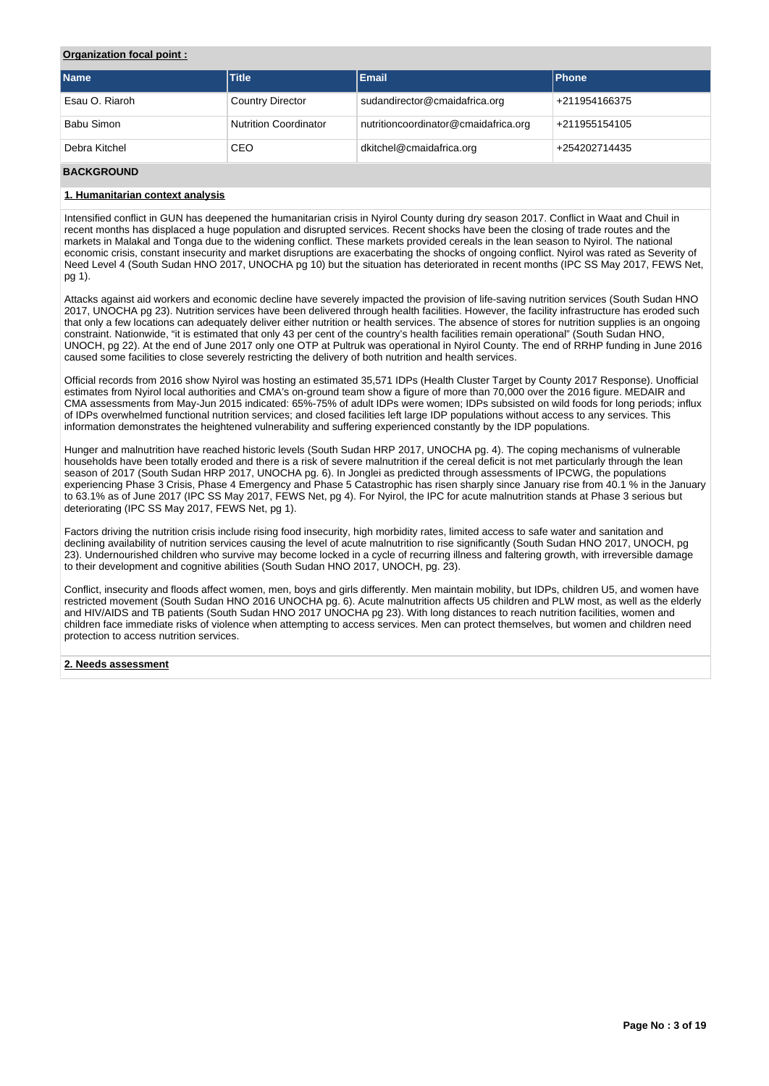# **Organization focal point :**

| <b>Name</b>    | <b>Title</b>                 | <b>Email</b>                         | <b>Phone</b>  |
|----------------|------------------------------|--------------------------------------|---------------|
| Esau O. Riaroh | <b>Country Director</b>      | sudandirector@cmaidafrica.org        | +211954166375 |
| Babu Simon     | <b>Nutrition Coordinator</b> | nutritioncoordinator@cmaidafrica.org | +211955154105 |
| Debra Kitchel  | CEO                          | dkitchel@cmaidafrica.org             | +254202714435 |

## **BACKGROUND**

## **1. Humanitarian context analysis**

Intensified conflict in GUN has deepened the humanitarian crisis in Nyirol County during dry season 2017. Conflict in Waat and Chuil in recent months has displaced a huge population and disrupted services. Recent shocks have been the closing of trade routes and the markets in Malakal and Tonga due to the widening conflict. These markets provided cereals in the lean season to Nyirol. The national economic crisis, constant insecurity and market disruptions are exacerbating the shocks of ongoing conflict. Nyirol was rated as Severity of Need Level 4 (South Sudan HNO 2017, UNOCHA pg 10) but the situation has deteriorated in recent months (IPC SS May 2017, FEWS Net, pg 1).

Attacks against aid workers and economic decline have severely impacted the provision of life-saving nutrition services (South Sudan HNO 2017, UNOCHA pg 23). Nutrition services have been delivered through health facilities. However, the facility infrastructure has eroded such that only a few locations can adequately deliver either nutrition or health services. The absence of stores for nutrition supplies is an ongoing constraint. Nationwide, "it is estimated that only 43 per cent of the country's health facilities remain operational" (South Sudan HNO, UNOCH, pg 22). At the end of June 2017 only one OTP at Pultruk was operational in Nyirol County. The end of RRHP funding in June 2016 caused some facilities to close severely restricting the delivery of both nutrition and health services.

Official records from 2016 show Nyirol was hosting an estimated 35,571 IDPs (Health Cluster Target by County 2017 Response). Unofficial estimates from Nyirol local authorities and CMA's on-ground team show a figure of more than 70,000 over the 2016 figure. MEDAIR and CMA assessments from May-Jun 2015 indicated: 65%-75% of adult IDPs were women; IDPs subsisted on wild foods for long periods; influx of IDPs overwhelmed functional nutrition services; and closed facilities left large IDP populations without access to any services. This information demonstrates the heightened vulnerability and suffering experienced constantly by the IDP populations.

Hunger and malnutrition have reached historic levels (South Sudan HRP 2017, UNOCHA pg. 4). The coping mechanisms of vulnerable households have been totally eroded and there is a risk of severe malnutrition if the cereal deficit is not met particularly through the lean season of 2017 (South Sudan HRP 2017, UNOCHA pg. 6). In Jonglei as predicted through assessments of IPCWG, the populations experiencing Phase 3 Crisis, Phase 4 Emergency and Phase 5 Catastrophic has risen sharply since January rise from 40.1 % in the January to 63.1% as of June 2017 (IPC SS May 2017, FEWS Net, pg 4). For Nyirol, the IPC for acute malnutrition stands at Phase 3 serious but deteriorating (IPC SS May 2017, FEWS Net, pg 1).

Factors driving the nutrition crisis include rising food insecurity, high morbidity rates, limited access to safe water and sanitation and declining availability of nutrition services causing the level of acute malnutrition to rise significantly (South Sudan HNO 2017, UNOCH, pg 23). Undernourished children who survive may become locked in a cycle of recurring illness and faltering growth, with irreversible damage to their development and cognitive abilities (South Sudan HNO 2017, UNOCH, pg. 23).

Conflict, insecurity and floods affect women, men, boys and girls differently. Men maintain mobility, but IDPs, children U5, and women have restricted movement (South Sudan HNO 2016 UNOCHA pg. 6). Acute malnutrition affects U5 children and PLW most, as well as the elderly and HIV/AIDS and TB patients (South Sudan HNO 2017 UNOCHA pg 23). With long distances to reach nutrition facilities, women and children face immediate risks of violence when attempting to access services. Men can protect themselves, but women and children need protection to access nutrition services.

## **2. Needs assessment**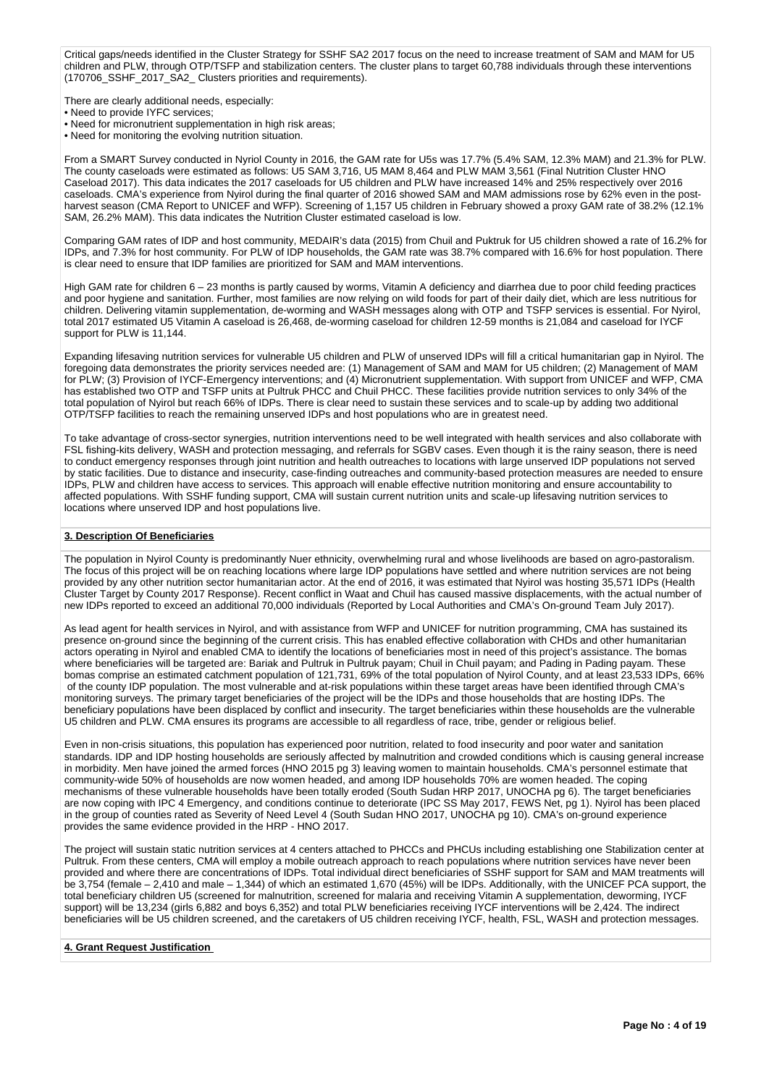Critical gaps/needs identified in the Cluster Strategy for SSHF SA2 2017 focus on the need to increase treatment of SAM and MAM for U5 children and PLW, through OTP/TSFP and stabilization centers. The cluster plans to target 60,788 individuals through these interventions (170706\_SSHF\_2017\_SA2\_ Clusters priorities and requirements).

There are clearly additional needs, especially:

- Need to provide IYFC services;
- Need for micronutrient supplementation in high risk areas;
- Need for monitoring the evolving nutrition situation.

From a SMART Survey conducted in Nyriol County in 2016, the GAM rate for U5s was 17.7% (5.4% SAM, 12.3% MAM) and 21.3% for PLW. The county caseloads were estimated as follows: U5 SAM 3,716, U5 MAM 8,464 and PLW MAM 3,561 (Final Nutrition Cluster HNO Caseload 2017). This data indicates the 2017 caseloads for U5 children and PLW have increased 14% and 25% respectively over 2016 caseloads. CMA's experience from Nyirol during the final quarter of 2016 showed SAM and MAM admissions rose by 62% even in the postharvest season (CMA Report to UNICEF and WFP). Screening of 1,157 U5 children in February showed a proxy GAM rate of 38.2% (12.1% SAM, 26.2% MAM). This data indicates the Nutrition Cluster estimated caseload is low.

Comparing GAM rates of IDP and host community, MEDAIR's data (2015) from Chuil and Puktruk for U5 children showed a rate of 16.2% for IDPs, and 7.3% for host community. For PLW of IDP households, the GAM rate was 38.7% compared with 16.6% for host population. There is clear need to ensure that IDP families are prioritized for SAM and MAM interventions.

High GAM rate for children 6 – 23 months is partly caused by worms, Vitamin A deficiency and diarrhea due to poor child feeding practices and poor hygiene and sanitation. Further, most families are now relying on wild foods for part of their daily diet, which are less nutritious for children. Delivering vitamin supplementation, de-worming and WASH messages along with OTP and TSFP services is essential. For Nyirol, total 2017 estimated U5 Vitamin A caseload is 26,468, de-worming caseload for children 12-59 months is 21,084 and caseload for IYCF support for PLW is 11,144.

Expanding lifesaving nutrition services for vulnerable U5 children and PLW of unserved IDPs will fill a critical humanitarian gap in Nyirol. The foregoing data demonstrates the priority services needed are: (1) Management of SAM and MAM for U5 children; (2) Management of MAM for PLW; (3) Provision of IYCF-Emergency interventions; and (4) Micronutrient supplementation. With support from UNICEF and WFP, CMA has established two OTP and TSFP units at Pultruk PHCC and Chuil PHCC. These facilities provide nutrition services to only 34% of the total population of Nyirol but reach 66% of IDPs. There is clear need to sustain these services and to scale-up by adding two additional OTP/TSFP facilities to reach the remaining unserved IDPs and host populations who are in greatest need.

To take advantage of cross-sector synergies, nutrition interventions need to be well integrated with health services and also collaborate with FSL fishing-kits delivery, WASH and protection messaging, and referrals for SGBV cases. Even though it is the rainy season, there is need to conduct emergency responses through joint nutrition and health outreaches to locations with large unserved IDP populations not served by static facilities. Due to distance and insecurity, case-finding outreaches and community-based protection measures are needed to ensure IDPs, PLW and children have access to services. This approach will enable effective nutrition monitoring and ensure accountability to affected populations. With SSHF funding support, CMA will sustain current nutrition units and scale-up lifesaving nutrition services to locations where unserved IDP and host populations live.

# **3. Description Of Beneficiaries**

The population in Nyirol County is predominantly Nuer ethnicity, overwhelming rural and whose livelihoods are based on agro-pastoralism. The focus of this project will be on reaching locations where large IDP populations have settled and where nutrition services are not being provided by any other nutrition sector humanitarian actor. At the end of 2016, it was estimated that Nyirol was hosting 35,571 IDPs (Health Cluster Target by County 2017 Response). Recent conflict in Waat and Chuil has caused massive displacements, with the actual number of new IDPs reported to exceed an additional 70,000 individuals (Reported by Local Authorities and CMA's On-ground Team July 2017).

As lead agent for health services in Nyirol, and with assistance from WFP and UNICEF for nutrition programming, CMA has sustained its presence on-ground since the beginning of the current crisis. This has enabled effective collaboration with CHDs and other humanitarian actors operating in Nyirol and enabled CMA to identify the locations of beneficiaries most in need of this project's assistance. The bomas where beneficiaries will be targeted are: Bariak and Pultruk in Pultruk payam; Chuil in Chuil payam; and Pading in Pading payam. These bomas comprise an estimated catchment population of 121,731, 69% of the total population of Nyirol County, and at least 23,533 IDPs, 66% of the county IDP population. The most vulnerable and at-risk populations within these target areas have been identified through CMA's monitoring surveys. The primary target beneficiaries of the project will be the IDPs and those households that are hosting IDPs. The beneficiary populations have been displaced by conflict and insecurity. The target beneficiaries within these households are the vulnerable U5 children and PLW. CMA ensures its programs are accessible to all regardless of race, tribe, gender or religious belief.

Even in non-crisis situations, this population has experienced poor nutrition, related to food insecurity and poor water and sanitation standards. IDP and IDP hosting households are seriously affected by malnutrition and crowded conditions which is causing general increase in morbidity. Men have joined the armed forces (HNO 2015 pg 3) leaving women to maintain households. CMA's personnel estimate that community-wide 50% of households are now women headed, and among IDP households 70% are women headed. The coping mechanisms of these vulnerable households have been totally eroded (South Sudan HRP 2017, UNOCHA pg 6). The target beneficiaries are now coping with IPC 4 Emergency, and conditions continue to deteriorate (IPC SS May 2017, FEWS Net, pg 1). Nyirol has been placed in the group of counties rated as Severity of Need Level 4 (South Sudan HNO 2017, UNOCHA pg 10). CMA's on-ground experience provides the same evidence provided in the HRP - HNO 2017.

The project will sustain static nutrition services at 4 centers attached to PHCCs and PHCUs including establishing one Stabilization center at Pultruk. From these centers, CMA will employ a mobile outreach approach to reach populations where nutrition services have never been provided and where there are concentrations of IDPs. Total individual direct beneficiaries of SSHF support for SAM and MAM treatments will be 3,754 (female – 2,410 and male – 1,344) of which an estimated 1,670 (45%) will be IDPs. Additionally, with the UNICEF PCA support, the total beneficiary children U5 (screened for malnutrition, screened for malaria and receiving Vitamin A supplementation, deworming, IYCF support) will be 13,234 (girls 6,882 and boys 6,352) and total PLW beneficiaries receiving IYCF interventions will be 2,424. The indirect beneficiaries will be U5 children screened, and the caretakers of U5 children receiving IYCF, health, FSL, WASH and protection messages.

#### **4. Grant Request Justification**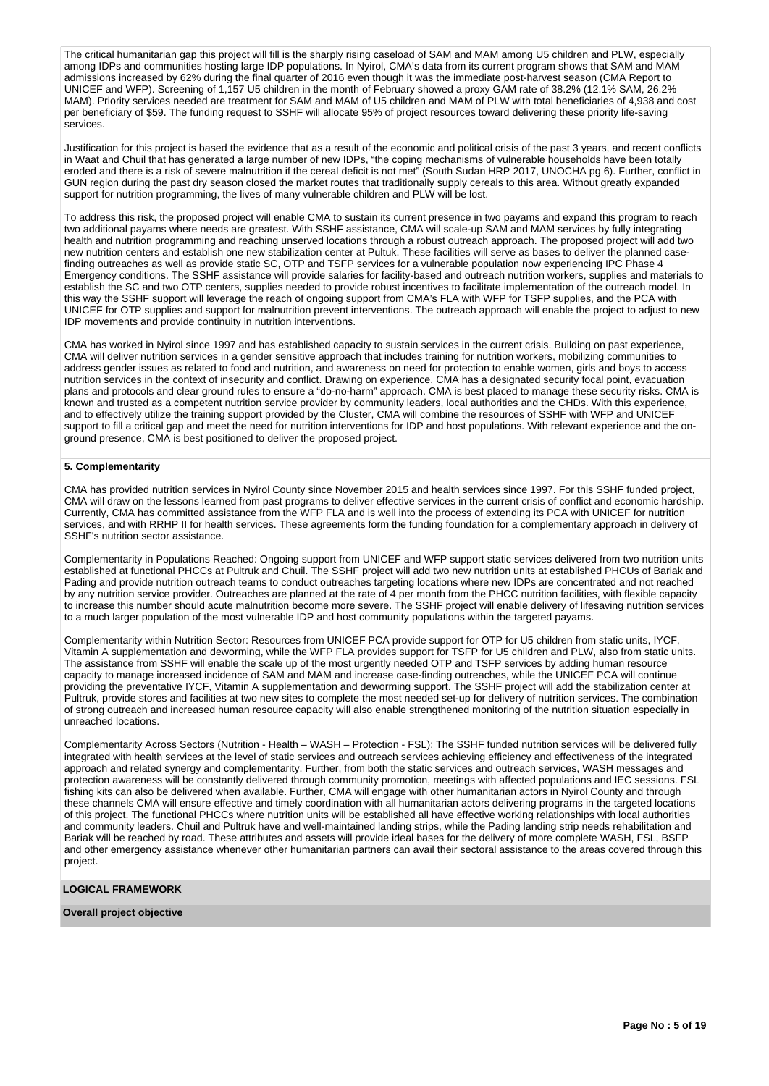The critical humanitarian gap this project will fill is the sharply rising caseload of SAM and MAM among U5 children and PLW, especially among IDPs and communities hosting large IDP populations. In Nyirol, CMA's data from its current program shows that SAM and MAM admissions increased by 62% during the final quarter of 2016 even though it was the immediate post-harvest season (CMA Report to UNICEF and WFP). Screening of 1,157 U5 children in the month of February showed a proxy GAM rate of 38.2% (12.1% SAM, 26.2% MAM). Priority services needed are treatment for SAM and MAM of U5 children and MAM of PLW with total beneficiaries of 4,938 and cost per beneficiary of \$59. The funding request to SSHF will allocate 95% of project resources toward delivering these priority life-saving services.

Justification for this project is based the evidence that as a result of the economic and political crisis of the past 3 years, and recent conflicts in Waat and Chuil that has generated a large number of new IDPs, "the coping mechanisms of vulnerable households have been totally eroded and there is a risk of severe malnutrition if the cereal deficit is not met" (South Sudan HRP 2017, UNOCHA pg 6). Further, conflict in GUN region during the past dry season closed the market routes that traditionally supply cereals to this area. Without greatly expanded support for nutrition programming, the lives of many vulnerable children and PLW will be lost.

To address this risk, the proposed project will enable CMA to sustain its current presence in two payams and expand this program to reach two additional payams where needs are greatest. With SSHF assistance, CMA will scale-up SAM and MAM services by fully integrating health and nutrition programming and reaching unserved locations through a robust outreach approach. The proposed project will add two new nutrition centers and establish one new stabilization center at Pultuk. These facilities will serve as bases to deliver the planned casefinding outreaches as well as provide static SC, OTP and TSFP services for a vulnerable population now experiencing IPC Phase 4 Emergency conditions. The SSHF assistance will provide salaries for facility-based and outreach nutrition workers, supplies and materials to establish the SC and two OTP centers, supplies needed to provide robust incentives to facilitate implementation of the outreach model. In this way the SSHF support will leverage the reach of ongoing support from CMA's FLA with WFP for TSFP supplies, and the PCA with UNICEF for OTP supplies and support for malnutrition prevent interventions. The outreach approach will enable the project to adjust to new IDP movements and provide continuity in nutrition interventions.

CMA has worked in Nyirol since 1997 and has established capacity to sustain services in the current crisis. Building on past experience, CMA will deliver nutrition services in a gender sensitive approach that includes training for nutrition workers, mobilizing communities to address gender issues as related to food and nutrition, and awareness on need for protection to enable women, girls and boys to access nutrition services in the context of insecurity and conflict. Drawing on experience, CMA has a designated security focal point, evacuation plans and protocols and clear ground rules to ensure a "do-no-harm" approach. CMA is best placed to manage these security risks. CMA is known and trusted as a competent nutrition service provider by community leaders, local authorities and the CHDs. With this experience, and to effectively utilize the training support provided by the Cluster, CMA will combine the resources of SSHF with WFP and UNICEF support to fill a critical gap and meet the need for nutrition interventions for IDP and host populations. With relevant experience and the onground presence, CMA is best positioned to deliver the proposed project.

#### **5. Complementarity**

CMA has provided nutrition services in Nyirol County since November 2015 and health services since 1997. For this SSHF funded project, CMA will draw on the lessons learned from past programs to deliver effective services in the current crisis of conflict and economic hardship. Currently, CMA has committed assistance from the WFP FLA and is well into the process of extending its PCA with UNICEF for nutrition services, and with RRHP II for health services. These agreements form the funding foundation for a complementary approach in delivery of SSHF's nutrition sector assistance.

Complementarity in Populations Reached: Ongoing support from UNICEF and WFP support static services delivered from two nutrition units established at functional PHCCs at Pultruk and Chuil. The SSHF project will add two new nutrition units at established PHCUs of Bariak and Pading and provide nutrition outreach teams to conduct outreaches targeting locations where new IDPs are concentrated and not reached by any nutrition service provider. Outreaches are planned at the rate of 4 per month from the PHCC nutrition facilities, with flexible capacity to increase this number should acute malnutrition become more severe. The SSHF project will enable delivery of lifesaving nutrition services to a much larger population of the most vulnerable IDP and host community populations within the targeted payams.

Complementarity within Nutrition Sector: Resources from UNICEF PCA provide support for OTP for U5 children from static units, IYCF, Vitamin A supplementation and deworming, while the WFP FLA provides support for TSFP for U5 children and PLW, also from static units. The assistance from SSHF will enable the scale up of the most urgently needed OTP and TSFP services by adding human resource capacity to manage increased incidence of SAM and MAM and increase case-finding outreaches, while the UNICEF PCA will continue providing the preventative IYCF, Vitamin A supplementation and deworming support. The SSHF project will add the stabilization center at Pultruk, provide stores and facilities at two new sites to complete the most needed set-up for delivery of nutrition services. The combination of strong outreach and increased human resource capacity will also enable strengthened monitoring of the nutrition situation especially in unreached locations.

Complementarity Across Sectors (Nutrition - Health – WASH – Protection - FSL): The SSHF funded nutrition services will be delivered fully integrated with health services at the level of static services and outreach services achieving efficiency and effectiveness of the integrated approach and related synergy and complementarity. Further, from both the static services and outreach services, WASH messages and protection awareness will be constantly delivered through community promotion, meetings with affected populations and IEC sessions. FSL fishing kits can also be delivered when available. Further, CMA will engage with other humanitarian actors in Nyirol County and through these channels CMA will ensure effective and timely coordination with all humanitarian actors delivering programs in the targeted locations of this project. The functional PHCCs where nutrition units will be established all have effective working relationships with local authorities and community leaders. Chuil and Pultruk have and well-maintained landing strips, while the Pading landing strip needs rehabilitation and Bariak will be reached by road. These attributes and assets will provide ideal bases for the delivery of more complete WASH, FSL, BSFP and other emergency assistance whenever other humanitarian partners can avail their sectoral assistance to the areas covered through this project.

# **LOGICAL FRAMEWORK**

# **Overall project objective**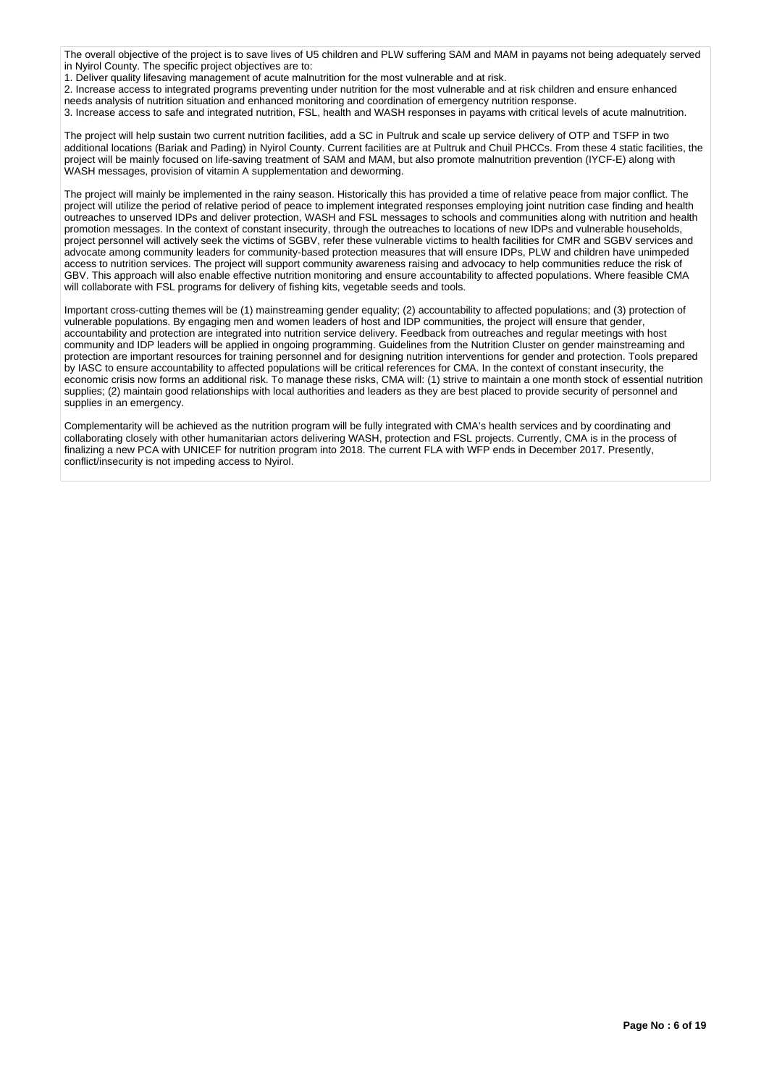The overall objective of the project is to save lives of U5 children and PLW suffering SAM and MAM in payams not being adequately served in Nyirol County. The specific project objectives are to:

1. Deliver quality lifesaving management of acute malnutrition for the most vulnerable and at risk.

2. Increase access to integrated programs preventing under nutrition for the most vulnerable and at risk children and ensure enhanced needs analysis of nutrition situation and enhanced monitoring and coordination of emergency nutrition response.

3. Increase access to safe and integrated nutrition, FSL, health and WASH responses in payams with critical levels of acute malnutrition.

The project will help sustain two current nutrition facilities, add a SC in Pultruk and scale up service delivery of OTP and TSFP in two additional locations (Bariak and Pading) in Nyirol County. Current facilities are at Pultruk and Chuil PHCCs. From these 4 static facilities, the project will be mainly focused on life-saving treatment of SAM and MAM, but also promote malnutrition prevention (IYCF-E) along with WASH messages, provision of vitamin A supplementation and deworming.

The project will mainly be implemented in the rainy season. Historically this has provided a time of relative peace from major conflict. The project will utilize the period of relative period of peace to implement integrated responses employing joint nutrition case finding and health outreaches to unserved IDPs and deliver protection, WASH and FSL messages to schools and communities along with nutrition and health promotion messages. In the context of constant insecurity, through the outreaches to locations of new IDPs and vulnerable households, project personnel will actively seek the victims of SGBV, refer these vulnerable victims to health facilities for CMR and SGBV services and advocate among community leaders for community-based protection measures that will ensure IDPs, PLW and children have unimpeded access to nutrition services. The project will support community awareness raising and advocacy to help communities reduce the risk of GBV. This approach will also enable effective nutrition monitoring and ensure accountability to affected populations. Where feasible CMA will collaborate with FSL programs for delivery of fishing kits, vegetable seeds and tools.

Important cross-cutting themes will be (1) mainstreaming gender equality; (2) accountability to affected populations; and (3) protection of vulnerable populations. By engaging men and women leaders of host and IDP communities, the project will ensure that gender, accountability and protection are integrated into nutrition service delivery. Feedback from outreaches and regular meetings with host community and IDP leaders will be applied in ongoing programming. Guidelines from the Nutrition Cluster on gender mainstreaming and protection are important resources for training personnel and for designing nutrition interventions for gender and protection. Tools prepared by IASC to ensure accountability to affected populations will be critical references for CMA. In the context of constant insecurity, the economic crisis now forms an additional risk. To manage these risks, CMA will: (1) strive to maintain a one month stock of essential nutrition supplies; (2) maintain good relationships with local authorities and leaders as they are best placed to provide security of personnel and supplies in an emergency.

Complementarity will be achieved as the nutrition program will be fully integrated with CMA's health services and by coordinating and collaborating closely with other humanitarian actors delivering WASH, protection and FSL projects. Currently, CMA is in the process of finalizing a new PCA with UNICEF for nutrition program into 2018. The current FLA with WFP ends in December 2017. Presently, conflict/insecurity is not impeding access to Nyirol.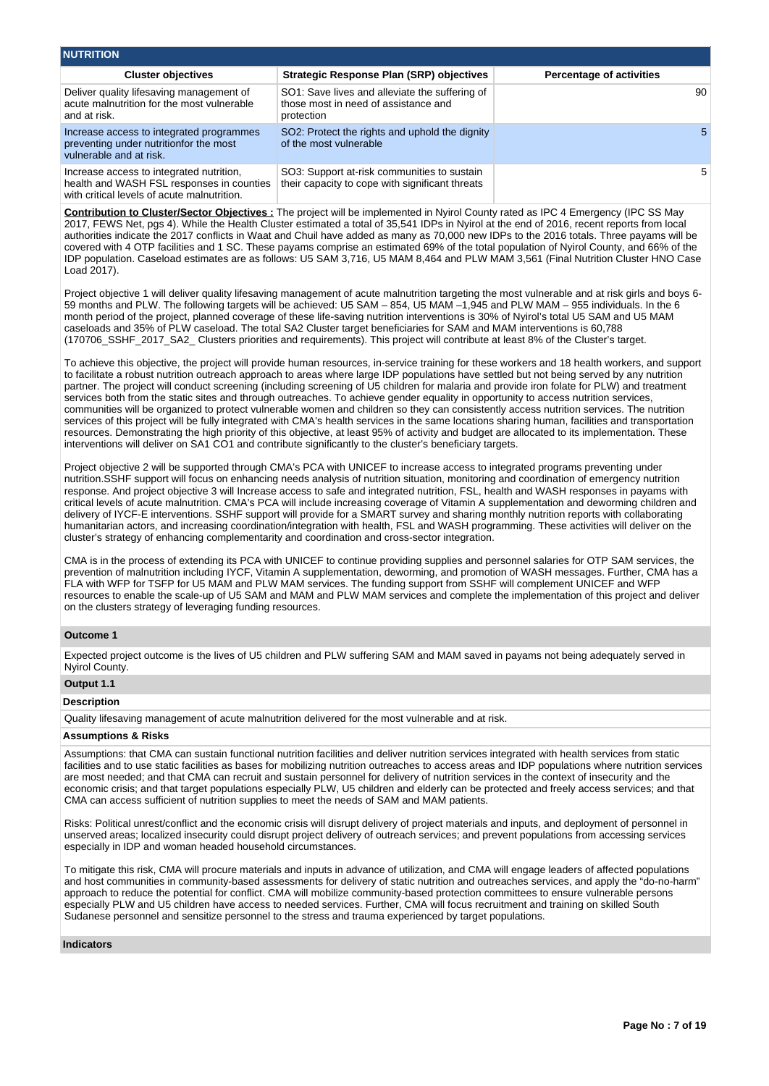| <b>NUTRITION</b>                                                                                                                     |                                                                                                      |                                 |
|--------------------------------------------------------------------------------------------------------------------------------------|------------------------------------------------------------------------------------------------------|---------------------------------|
| <b>Cluster objectives</b>                                                                                                            | Strategic Response Plan (SRP) objectives                                                             | <b>Percentage of activities</b> |
| Deliver quality lifesaving management of<br>acute malnutrition for the most vulnerable<br>and at risk.                               | SO1: Save lives and alleviate the suffering of<br>those most in need of assistance and<br>protection | 90                              |
| Increase access to integrated programmes<br>preventing under nutritionfor the most<br>vulnerable and at risk.                        | SO2: Protect the rights and uphold the dignity<br>of the most vulnerable                             | 5.                              |
| Increase access to integrated nutrition,<br>health and WASH FSL responses in counties<br>with critical levels of acute malnutrition. | SO3: Support at-risk communities to sustain<br>their capacity to cope with significant threats       | 5                               |

**Contribution to Cluster/Sector Objectives :** The project will be implemented in Nyirol County rated as IPC 4 Emergency (IPC SS May 2017, FEWS Net, pgs 4). While the Health Cluster estimated a total of 35,541 IDPs in Nyirol at the end of 2016, recent reports from local authorities indicate the 2017 conflicts in Waat and Chuil have added as many as 70,000 new IDPs to the 2016 totals. Three payams will be covered with 4 OTP facilities and 1 SC. These payams comprise an estimated 69% of the total population of Nyirol County, and 66% of the IDP population. Caseload estimates are as follows: U5 SAM 3,716, U5 MAM 8,464 and PLW MAM 3,561 (Final Nutrition Cluster HNO Case Load 2017).

Project objective 1 will deliver quality lifesaving management of acute malnutrition targeting the most vulnerable and at risk girls and boys 6- 59 months and PLW. The following targets will be achieved: U5 SAM – 854, U5 MAM –1,945 and PLW MAM – 955 individuals. In the 6 month period of the project, planned coverage of these life-saving nutrition interventions is 30% of Nyirol's total U5 SAM and U5 MAM caseloads and 35% of PLW caseload. The total SA2 Cluster target beneficiaries for SAM and MAM interventions is 60,788 (170706\_SSHF\_2017\_SA2\_ Clusters priorities and requirements). This project will contribute at least 8% of the Cluster's target.

To achieve this objective, the project will provide human resources, in-service training for these workers and 18 health workers, and support to facilitate a robust nutrition outreach approach to areas where large IDP populations have settled but not being served by any nutrition partner. The project will conduct screening (including screening of U5 children for malaria and provide iron folate for PLW) and treatment services both from the static sites and through outreaches. To achieve gender equality in opportunity to access nutrition services, communities will be organized to protect vulnerable women and children so they can consistently access nutrition services. The nutrition services of this project will be fully integrated with CMA's health services in the same locations sharing human, facilities and transportation resources. Demonstrating the high priority of this objective, at least 95% of activity and budget are allocated to its implementation. These interventions will deliver on SA1 CO1 and contribute significantly to the cluster's beneficiary targets.

Project objective 2 will be supported through CMA's PCA with UNICEF to increase access to integrated programs preventing under nutrition.SSHF support will focus on enhancing needs analysis of nutrition situation, monitoring and coordination of emergency nutrition response. And project objective 3 will Increase access to safe and integrated nutrition, FSL, health and WASH responses in payams with critical levels of acute malnutrition. CMA's PCA will include increasing coverage of Vitamin A supplementation and deworming children and delivery of IYCF-E interventions. SSHF support will provide for a SMART survey and sharing monthly nutrition reports with collaborating humanitarian actors, and increasing coordination/integration with health, FSL and WASH programming. These activities will deliver on the cluster's strategy of enhancing complementarity and coordination and cross-sector integration.

CMA is in the process of extending its PCA with UNICEF to continue providing supplies and personnel salaries for OTP SAM services, the prevention of malnutrition including IYCF, Vitamin A supplementation, deworming, and promotion of WASH messages. Further, CMA has a FLA with WFP for TSFP for U5 MAM and PLW MAM services. The funding support from SSHF will complement UNICEF and WFP resources to enable the scale-up of U5 SAM and MAM and PLW MAM services and complete the implementation of this project and deliver on the clusters strategy of leveraging funding resources.

## **Outcome 1**

Expected project outcome is the lives of U5 children and PLW suffering SAM and MAM saved in payams not being adequately served in Nyirol County.

# **Output 1.1**

# **Description**

Quality lifesaving management of acute malnutrition delivered for the most vulnerable and at risk.

#### **Assumptions & Risks**

Assumptions: that CMA can sustain functional nutrition facilities and deliver nutrition services integrated with health services from static facilities and to use static facilities as bases for mobilizing nutrition outreaches to access areas and IDP populations where nutrition services are most needed; and that CMA can recruit and sustain personnel for delivery of nutrition services in the context of insecurity and the economic crisis; and that target populations especially PLW, U5 children and elderly can be protected and freely access services; and that CMA can access sufficient of nutrition supplies to meet the needs of SAM and MAM patients.

Risks: Political unrest/conflict and the economic crisis will disrupt delivery of project materials and inputs, and deployment of personnel in unserved areas; localized insecurity could disrupt project delivery of outreach services; and prevent populations from accessing services especially in IDP and woman headed household circumstances.

To mitigate this risk, CMA will procure materials and inputs in advance of utilization, and CMA will engage leaders of affected populations and host communities in community-based assessments for delivery of static nutrition and outreaches services, and apply the "do-no-harm" approach to reduce the potential for conflict. CMA will mobilize community-based protection committees to ensure vulnerable persons especially PLW and U5 children have access to needed services. Further, CMA will focus recruitment and training on skilled South Sudanese personnel and sensitize personnel to the stress and trauma experienced by target populations.

#### **Indicators**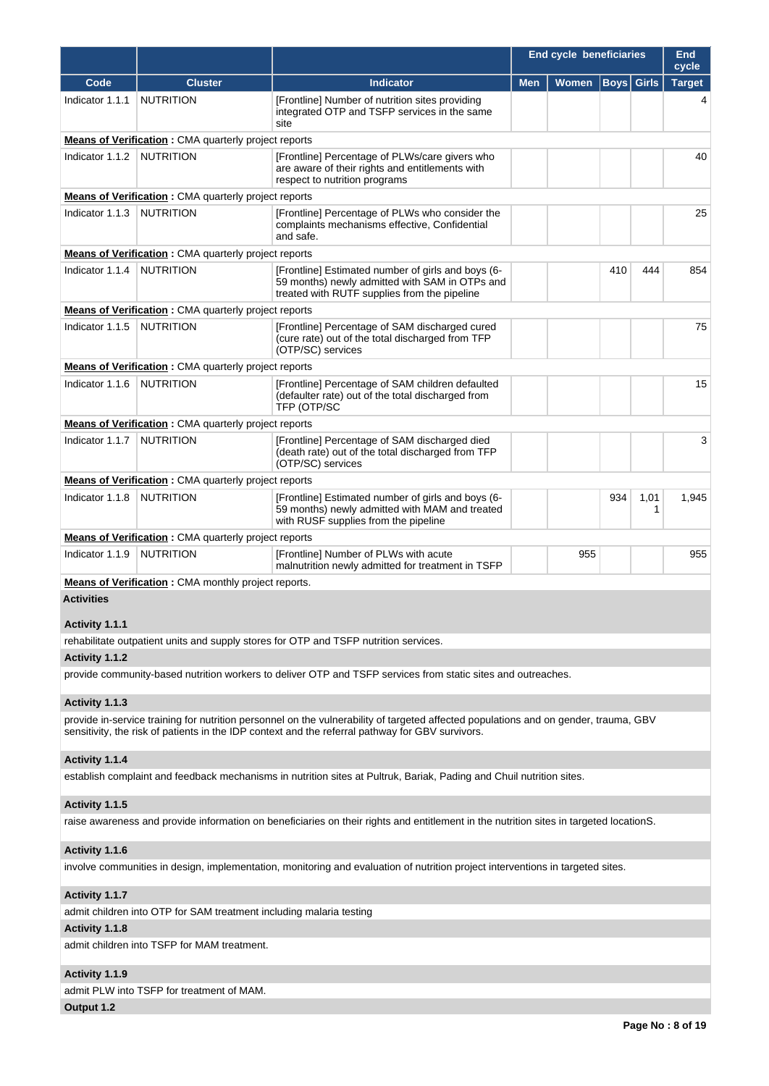|                   |                                                             |                                                                                                                                                      | <b>End cycle beneficiaries</b> |              |                   |           | End<br>cycle  |
|-------------------|-------------------------------------------------------------|------------------------------------------------------------------------------------------------------------------------------------------------------|--------------------------------|--------------|-------------------|-----------|---------------|
| Code              | <b>Cluster</b>                                              | <b>Indicator</b>                                                                                                                                     | <b>Men</b>                     | <b>Women</b> | <b>Boys</b> Girls |           | <b>Target</b> |
| Indicator 1.1.1   | <b>NUTRITION</b>                                            | [Frontline] Number of nutrition sites providing<br>integrated OTP and TSFP services in the same<br>site                                              |                                |              |                   |           |               |
|                   | <b>Means of Verification:</b> CMA quarterly project reports |                                                                                                                                                      |                                |              |                   |           |               |
| Indicator 1.1.2   | <b>NUTRITION</b>                                            | [Frontline] Percentage of PLWs/care givers who<br>are aware of their rights and entitlements with<br>respect to nutrition programs                   |                                |              |                   |           | 40            |
|                   | <b>Means of Verification:</b> CMA quarterly project reports |                                                                                                                                                      |                                |              |                   |           |               |
| Indicator 1.1.3   | <b>NUTRITION</b>                                            | [Frontline] Percentage of PLWs who consider the<br>complaints mechanisms effective, Confidential<br>and safe.                                        |                                |              |                   |           | 25            |
|                   | <b>Means of Verification:</b> CMA quarterly project reports |                                                                                                                                                      |                                |              |                   |           |               |
| Indicator 1.1.4   | <b>NUTRITION</b>                                            | [Frontline] Estimated number of girls and boys (6-<br>59 months) newly admitted with SAM in OTPs and<br>treated with RUTF supplies from the pipeline |                                |              | 410               | 444       | 854           |
|                   | <b>Means of Verification:</b> CMA quarterly project reports |                                                                                                                                                      |                                |              |                   |           |               |
| Indicator 1.1.5   | <b>NUTRITION</b>                                            | [Frontline] Percentage of SAM discharged cured<br>(cure rate) out of the total discharged from TFP<br>(OTP/SC) services                              |                                |              |                   |           | 75            |
|                   | <b>Means of Verification:</b> CMA quarterly project reports |                                                                                                                                                      |                                |              |                   |           |               |
| Indicator 1.1.6   | <b>NUTRITION</b>                                            | [Frontline] Percentage of SAM children defaulted<br>(defaulter rate) out of the total discharged from<br>TFP (OTP/SC                                 |                                |              |                   |           | 15            |
|                   | <b>Means of Verification:</b> CMA quarterly project reports |                                                                                                                                                      |                                |              |                   |           |               |
| Indicator 1.1.7   | <b>NUTRITION</b>                                            | [Frontline] Percentage of SAM discharged died<br>(death rate) out of the total discharged from TFP<br>(OTP/SC) services                              |                                |              |                   |           | 3             |
|                   | <b>Means of Verification:</b> CMA quarterly project reports |                                                                                                                                                      |                                |              |                   |           |               |
| Indicator 1.1.8   | <b>NUTRITION</b>                                            | [Frontline] Estimated number of girls and boys (6-<br>59 months) newly admitted with MAM and treated<br>with RUSF supplies from the pipeline         |                                |              | 934               | 1,01<br>1 | 1,945         |
|                   | <b>Means of Verification:</b> CMA quarterly project reports |                                                                                                                                                      |                                |              |                   |           |               |
| Indicator 1.1.9   | <b>NUTRITION</b>                                            | [Frontline] Number of PLWs with acute<br>malnutrition newly admitted for treatment in TSFP                                                           |                                | 955          |                   |           | 955           |
|                   | <b>Means of Verification:</b> CMA monthly project reports.  |                                                                                                                                                      |                                |              |                   |           |               |
| <b>Activities</b> |                                                             |                                                                                                                                                      |                                |              |                   |           |               |

**Activity 1.1.1** 

rehabilitate outpatient units and supply stores for OTP and TSFP nutrition services.

# **Activity 1.1.2**

provide community-based nutrition workers to deliver OTP and TSFP services from static sites and outreaches.

# **Activity 1.1.3**

provide in-service training for nutrition personnel on the vulnerability of targeted affected populations and on gender, trauma, GBV sensitivity, the risk of patients in the IDP context and the referral pathway for GBV survivors.

# **Activity 1.1.4**

establish complaint and feedback mechanisms in nutrition sites at Pultruk, Bariak, Pading and Chuil nutrition sites.

# **Activity 1.1.5**

raise awareness and provide information on beneficiaries on their rights and entitlement in the nutrition sites in targeted locationS.

# **Activity 1.1.6**

involve communities in design, implementation, monitoring and evaluation of nutrition project interventions in targeted sites.

# **Activity 1.1.7**

admit children into OTP for SAM treatment including malaria testing

# **Activity 1.1.8**

admit children into TSFP for MAM treatment.

# **Activity 1.1.9**

admit PLW into TSFP for treatment of MAM.

**Output 1.2**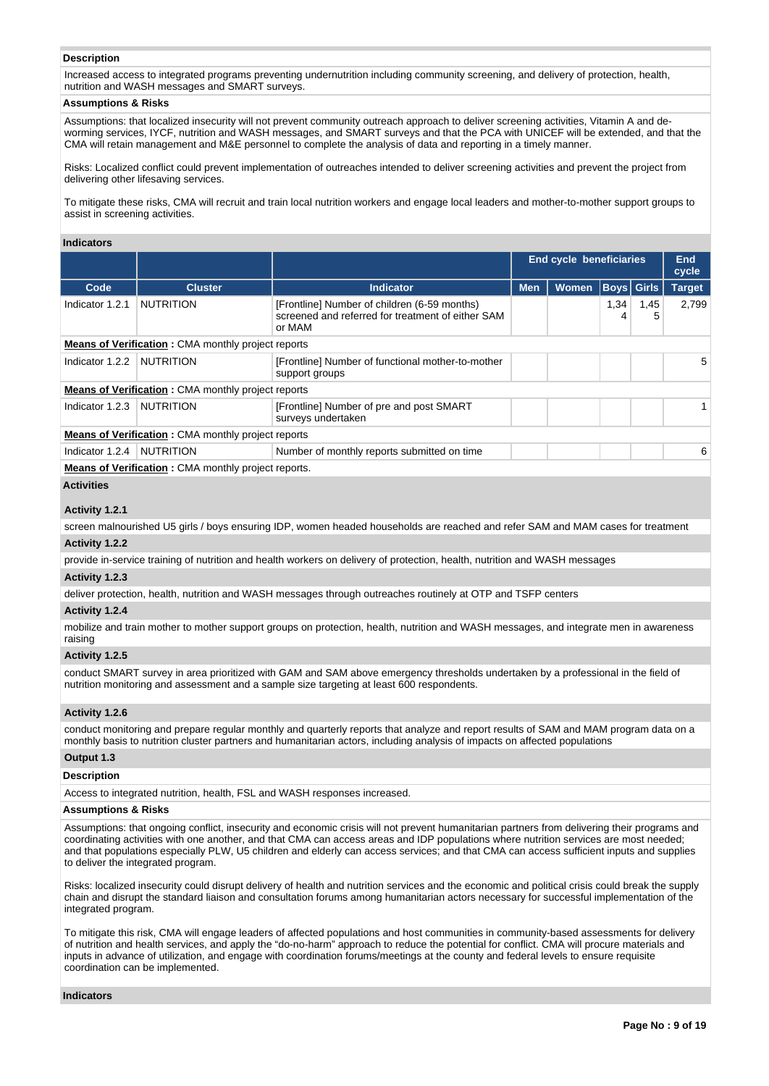#### **Description**

Increased access to integrated programs preventing undernutrition including community screening, and delivery of protection, health, nutrition and WASH messages and SMART surveys.

# **Assumptions & Risks**

Assumptions: that localized insecurity will not prevent community outreach approach to deliver screening activities, Vitamin A and deworming services, IYCF, nutrition and WASH messages, and SMART surveys and that the PCA with UNICEF will be extended, and that the CMA will retain management and M&E personnel to complete the analysis of data and reporting in a timely manner.

Risks: Localized conflict could prevent implementation of outreaches intended to deliver screening activities and prevent the project from delivering other lifesaving services.

To mitigate these risks, CMA will recruit and train local nutrition workers and engage local leaders and mother-to-mother support groups to assist in screening activities.

#### **Indicators**

|                                                           |                                                           |                                                                                                             | End cycle beneficiaries |              |                   |           | End<br>cycle  |  |
|-----------------------------------------------------------|-----------------------------------------------------------|-------------------------------------------------------------------------------------------------------------|-------------------------|--------------|-------------------|-----------|---------------|--|
| Code                                                      | <b>Cluster</b>                                            | <b>Indicator</b>                                                                                            | <b>Men</b>              | <b>Women</b> | <b>Boys</b> Girls |           | <b>Target</b> |  |
| Indicator 1.2.1                                           | <b>NUTRITION</b>                                          | [Frontline] Number of children (6-59 months)<br>screened and referred for treatment of either SAM<br>or MAM |                         |              | 1,34<br>4         | 1,45<br>5 | 2.799         |  |
| <b>Means of Verification: CMA monthly project reports</b> |                                                           |                                                                                                             |                         |              |                   |           |               |  |
| Indicator 1.2.2                                           | <b>NUTRITION</b>                                          | [Frontline] Number of functional mother-to-mother<br>support groups                                         |                         |              |                   |           | 5             |  |
|                                                           | <b>Means of Verification:</b> CMA monthly project reports |                                                                                                             |                         |              |                   |           |               |  |
| Indicator 1.2.3                                           | <b>NUTRITION</b>                                          | [Frontline] Number of pre and post SMART<br>surveys undertaken                                              |                         |              |                   |           |               |  |
|                                                           | <b>Means of Verification: CMA monthly project reports</b> |                                                                                                             |                         |              |                   |           |               |  |
| Indicator 1.2.4                                           | <b>NUTRITION</b>                                          | Number of monthly reports submitted on time                                                                 |                         |              |                   |           | 6             |  |
|                                                           | Means of Verification : CMA monthly project reports       |                                                                                                             |                         |              |                   |           |               |  |

**of Verification :** CMA monthly project reports.

# **Activities**

## **Activity 1.2.1**

screen malnourished U5 girls / boys ensuring IDP, women headed households are reached and refer SAM and MAM cases for treatment **Activity 1.2.2** 

provide in-service training of nutrition and health workers on delivery of protection, health, nutrition and WASH messages

## **Activity 1.2.3**

deliver protection, health, nutrition and WASH messages through outreaches routinely at OTP and TSFP centers

## **Activity 1.2.4**

mobilize and train mother to mother support groups on protection, health, nutrition and WASH messages, and integrate men in awareness raising

# **Activity 1.2.5**

conduct SMART survey in area prioritized with GAM and SAM above emergency thresholds undertaken by a professional in the field of nutrition monitoring and assessment and a sample size targeting at least 600 respondents.

# **Activity 1.2.6**

conduct monitoring and prepare regular monthly and quarterly reports that analyze and report results of SAM and MAM program data on a monthly basis to nutrition cluster partners and humanitarian actors, including analysis of impacts on affected populations

# **Output 1.3**

#### **Description**

Access to integrated nutrition, health, FSL and WASH responses increased.

#### **Assumptions & Risks**

Assumptions: that ongoing conflict, insecurity and economic crisis will not prevent humanitarian partners from delivering their programs and coordinating activities with one another, and that CMA can access areas and IDP populations where nutrition services are most needed; and that populations especially PLW, U5 children and elderly can access services; and that CMA can access sufficient inputs and supplies to deliver the integrated program.

Risks: localized insecurity could disrupt delivery of health and nutrition services and the economic and political crisis could break the supply chain and disrupt the standard liaison and consultation forums among humanitarian actors necessary for successful implementation of the integrated program.

To mitigate this risk, CMA will engage leaders of affected populations and host communities in community-based assessments for delivery of nutrition and health services, and apply the "do-no-harm" approach to reduce the potential for conflict. CMA will procure materials and inputs in advance of utilization, and engage with coordination forums/meetings at the county and federal levels to ensure requisite coordination can be implemented.

**Indicators**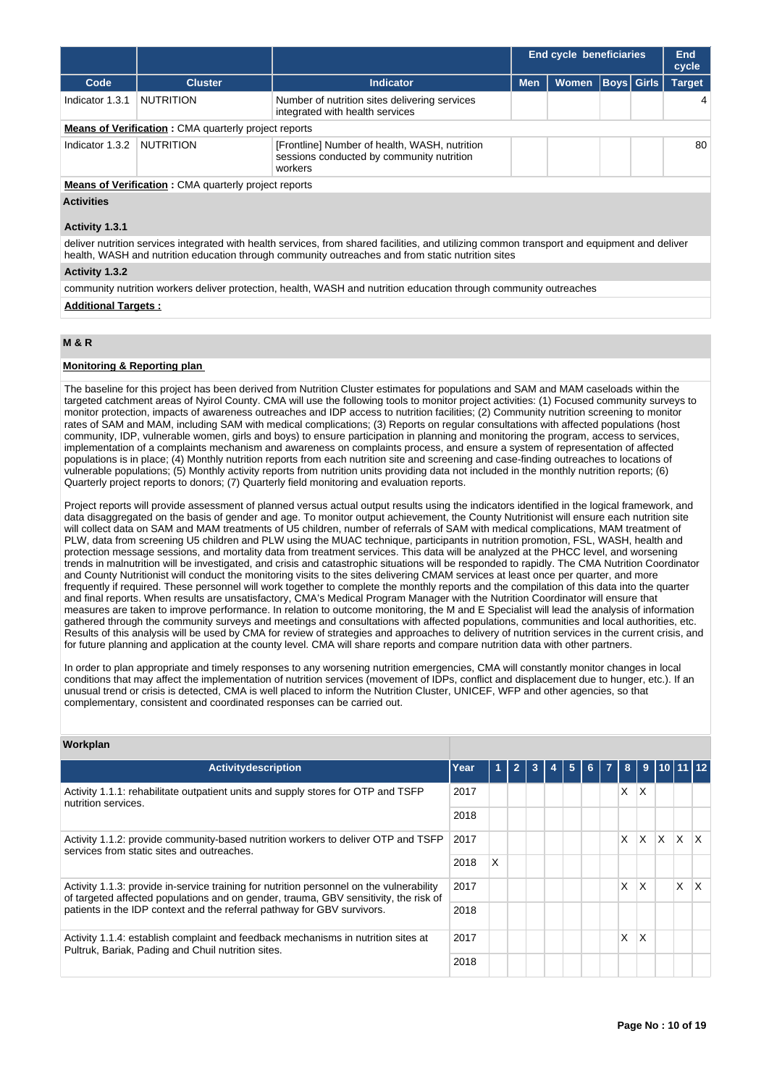|                   |                                                             |                                                                                                       |            |              |                   |  | <b>End cycle beneficiaries</b> |  |  | End<br>cycle |
|-------------------|-------------------------------------------------------------|-------------------------------------------------------------------------------------------------------|------------|--------------|-------------------|--|--------------------------------|--|--|--------------|
| Code              | <b>Cluster</b>                                              | <b>Indicator</b>                                                                                      | <b>Men</b> | <b>Women</b> | <b>Boys Girls</b> |  | <b>Target</b>                  |  |  |              |
| Indicator 1.3.1   | <b>NUTRITION</b>                                            | Number of nutrition sites delivering services<br>integrated with health services                      |            |              |                   |  | 4                              |  |  |              |
|                   | <b>Means of Verification:</b> CMA quarterly project reports |                                                                                                       |            |              |                   |  |                                |  |  |              |
| Indicator 1.3.2   | <b>NUTRITION</b>                                            | [Frontline] Number of health, WASH, nutrition<br>sessions conducted by community nutrition<br>workers |            |              |                   |  | 80                             |  |  |              |
|                   | <b>Means of Verification:</b> CMA quarterly project reports |                                                                                                       |            |              |                   |  |                                |  |  |              |
| <b>Activities</b> |                                                             |                                                                                                       |            |              |                   |  |                                |  |  |              |

#### **Activity 1.3.1**

deliver nutrition services integrated with health services, from shared facilities, and utilizing common transport and equipment and deliver health, WASH and nutrition education through community outreaches and from static nutrition sites

## **Activity 1.3.2**

community nutrition workers deliver protection, health, WASH and nutrition education through community outreaches

#### **Additional Targets :**

# **M & R**

## **Monitoring & Reporting plan**

The baseline for this project has been derived from Nutrition Cluster estimates for populations and SAM and MAM caseloads within the targeted catchment areas of Nyirol County. CMA will use the following tools to monitor project activities: (1) Focused community surveys to monitor protection, impacts of awareness outreaches and IDP access to nutrition facilities; (2) Community nutrition screening to monitor rates of SAM and MAM, including SAM with medical complications; (3) Reports on regular consultations with affected populations (host community, IDP, vulnerable women, girls and boys) to ensure participation in planning and monitoring the program, access to services, implementation of a complaints mechanism and awareness on complaints process, and ensure a system of representation of affected populations is in place; (4) Monthly nutrition reports from each nutrition site and screening and case-finding outreaches to locations of vulnerable populations; (5) Monthly activity reports from nutrition units providing data not included in the monthly nutrition reports; (6) Quarterly project reports to donors; (7) Quarterly field monitoring and evaluation reports.

Project reports will provide assessment of planned versus actual output results using the indicators identified in the logical framework, and data disaggregated on the basis of gender and age. To monitor output achievement, the County Nutritionist will ensure each nutrition site will collect data on SAM and MAM treatments of U5 children, number of referrals of SAM with medical complications, MAM treatment of PLW, data from screening U5 children and PLW using the MUAC technique, participants in nutrition promotion, FSL, WASH, health and protection message sessions, and mortality data from treatment services. This data will be analyzed at the PHCC level, and worsening trends in malnutrition will be investigated, and crisis and catastrophic situations will be responded to rapidly. The CMA Nutrition Coordinator and County Nutritionist will conduct the monitoring visits to the sites delivering CMAM services at least once per quarter, and more frequently if required. These personnel will work together to complete the monthly reports and the compilation of this data into the quarter and final reports. When results are unsatisfactory, CMA's Medical Program Manager with the Nutrition Coordinator will ensure that measures are taken to improve performance. In relation to outcome monitoring, the M and E Specialist will lead the analysis of information gathered through the community surveys and meetings and consultations with affected populations, communities and local authorities, etc. Results of this analysis will be used by CMA for review of strategies and approaches to delivery of nutrition services in the current crisis, and for future planning and application at the county level. CMA will share reports and compare nutrition data with other partners.

In order to plan appropriate and timely responses to any worsening nutrition emergencies, CMA will constantly monitor changes in local conditions that may affect the implementation of nutrition services (movement of IDPs, conflict and displacement due to hunger, etc.). If an unusual trend or crisis is detected, CMA is well placed to inform the Nutrition Cluster, UNICEF, WFP and other agencies, so that complementary, consistent and coordinated responses can be carried out.

| Workplan                                                                                                                                                                         |      |     |                |   |   |   |                |    |             |              |           |              |
|----------------------------------------------------------------------------------------------------------------------------------------------------------------------------------|------|-----|----------------|---|---|---|----------------|----|-------------|--------------|-----------|--------------|
| <b>Activitydescription</b>                                                                                                                                                       | Year | Y). | $\overline{2}$ | 3 | 5 | 6 | $\overline{7}$ | 8  | $9^{\circ}$ |              | 110111112 |              |
| Activity 1.1.1: rehabilitate outpatient units and supply stores for OTP and TSFP<br>nutrition services.                                                                          | 2017 |     |                |   |   |   |                | X. | ΙX.         |              |           |              |
|                                                                                                                                                                                  | 2018 |     |                |   |   |   |                |    |             |              |           |              |
| Activity 1.1.2: provide community-based nutrition workers to deliver OTP and TSFP<br>services from static sites and outreaches.                                                  | 2017 |     |                |   |   |   |                | X. | X.          | $\mathsf{X}$ | IX.       | $\mathsf{X}$ |
| 2018                                                                                                                                                                             |      | X   |                |   |   |   |                |    |             |              |           |              |
| Activity 1.1.3: provide in-service training for nutrition personnel on the vulnerability<br>of targeted affected populations and on gender, trauma, GBV sensitivity, the risk of | 2017 |     |                |   |   |   |                | X. | X           |              | X         | X            |
| patients in the IDP context and the referral pathway for GBV survivors.                                                                                                          | 2018 |     |                |   |   |   |                |    |             |              |           |              |
| Activity 1.1.4: establish complaint and feedback mechanisms in nutrition sites at<br>Pultruk, Bariak, Pading and Chuil nutrition sites.                                          | 2017 |     |                |   |   |   |                | X  | x           |              |           |              |
| 2018                                                                                                                                                                             |      |     |                |   |   |   |                |    |             |              |           |              |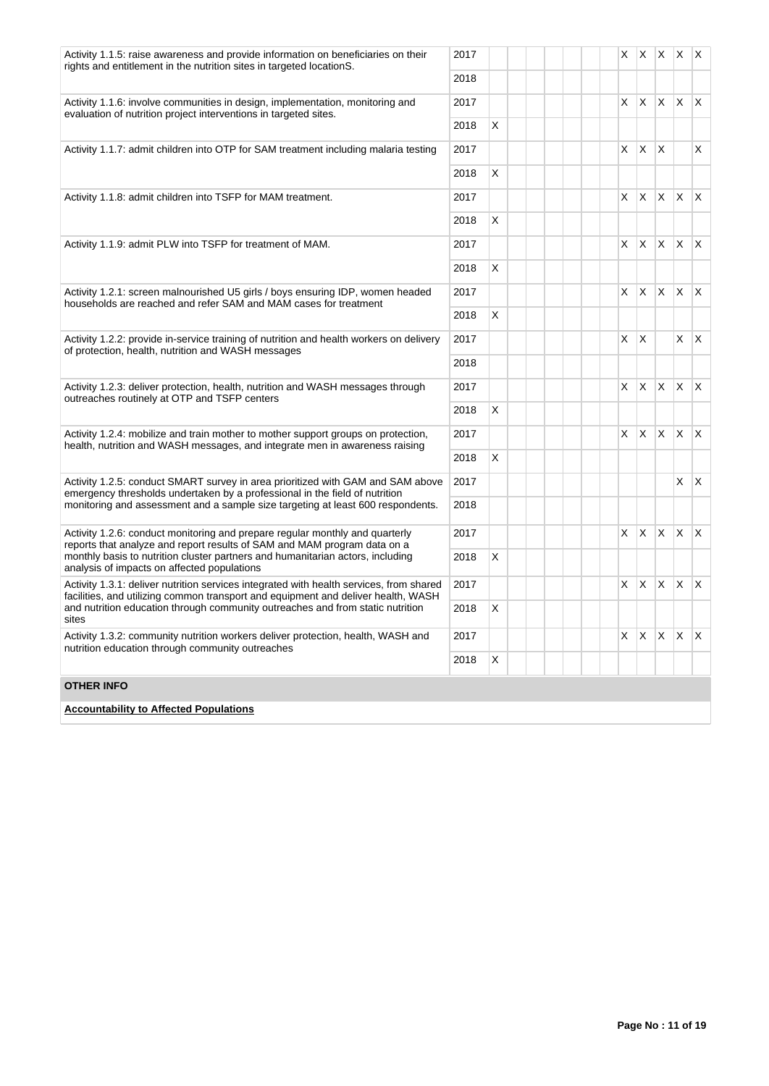| 2017<br>Activity 1.1.5: raise awareness and provide information on beneficiaries on their<br>rights and entitlement in the nutrition sites in targeted locationS.                                         |      |          |    |              | $X$ $X$ $X$ $X$ $X$ |              |                         |
|-----------------------------------------------------------------------------------------------------------------------------------------------------------------------------------------------------------|------|----------|----|--------------|---------------------|--------------|-------------------------|
|                                                                                                                                                                                                           | 2018 |          |    |              |                     |              |                         |
| Activity 1.1.6: involve communities in design, implementation, monitoring and<br>evaluation of nutrition project interventions in targeted sites.                                                         | 2017 |          | X. | $X$ $X$      |                     | X            | $\mathsf{X}$            |
|                                                                                                                                                                                                           | 2018 | X        |    |              |                     |              |                         |
| Activity 1.1.7: admit children into OTP for SAM treatment including malaria testing                                                                                                                       | 2017 |          | X. | $\mathsf{X}$ | $\times$            |              | X                       |
|                                                                                                                                                                                                           | 2018 | $\times$ |    |              |                     |              |                         |
| Activity 1.1.8: admit children into TSFP for MAM treatment.                                                                                                                                               | 2017 |          | X. | X            | $\mathsf{X}$        | $\mathsf{X}$ | $\mathsf{X}$            |
|                                                                                                                                                                                                           | 2018 | $\times$ |    |              |                     |              |                         |
| Activity 1.1.9: admit PLW into TSFP for treatment of MAM.                                                                                                                                                 | 2017 |          | X. | X X          |                     | $x \times$   |                         |
|                                                                                                                                                                                                           | 2018 | X        |    |              |                     |              |                         |
| Activity 1.2.1: screen malnourished U5 girls / boys ensuring IDP, women headed<br>households are reached and refer SAM and MAM cases for treatment                                                        | 2017 |          | X  | $\mathsf{X}$ | <b>X</b>            | ΙX.          | $\mathsf{X}$            |
|                                                                                                                                                                                                           | 2018 | $\times$ |    |              |                     |              |                         |
| Activity 1.2.2: provide in-service training of nutrition and health workers on delivery<br>of protection, health, nutrition and WASH messages                                                             | 2017 |          | X  | $\mathsf{X}$ |                     | X            | $\mathsf{X}$            |
|                                                                                                                                                                                                           | 2018 |          |    |              |                     |              |                         |
| Activity 1.2.3: deliver protection, health, nutrition and WASH messages through<br>outreaches routinely at OTP and TSFP centers                                                                           | 2017 |          | X  | $\mathsf{X}$ | X                   | $\mathsf{X}$ | $\mathsf{I} \mathsf{X}$ |
|                                                                                                                                                                                                           | 2018 | X        |    |              |                     |              |                         |
| Activity 1.2.4: mobilize and train mother to mother support groups on protection,<br>health, nutrition and WASH messages, and integrate men in awareness raising                                          | 2017 |          | X  | $\mathsf{X}$ | <b>X</b>            | ΙX.          | $\mathsf{X}$            |
|                                                                                                                                                                                                           | 2018 | X        |    |              |                     |              |                         |
| Activity 1.2.5: conduct SMART survey in area prioritized with GAM and SAM above<br>emergency thresholds undertaken by a professional in the field of nutrition                                            | 2017 |          |    |              |                     | X            | $\mathsf{X}$            |
| monitoring and assessment and a sample size targeting at least 600 respondents.                                                                                                                           | 2018 |          |    |              |                     |              |                         |
| Activity 1.2.6: conduct monitoring and prepare regular monthly and quarterly                                                                                                                              | 2017 |          | X. | X            | X                   | X            | $\mathsf{X}$            |
| reports that analyze and report results of SAM and MAM program data on a<br>monthly basis to nutrition cluster partners and humanitarian actors, including<br>analysis of impacts on affected populations | 2018 | X        |    |              |                     |              |                         |
| Activity 1.3.1: deliver nutrition services integrated with health services, from shared                                                                                                                   | 2017 |          | X. | X            | $\mathsf{X}$        | ΙX.          | $\mathsf{X}$            |
| facilities, and utilizing common transport and equipment and deliver health, WASH<br>and nutrition education through community outreaches and from static nutrition<br>sites                              | 2018 | X        |    |              |                     |              |                         |
| Activity 1.3.2: community nutrition workers deliver protection, health, WASH and<br>nutrition education through community outreaches                                                                      | 2017 |          |    | $X$ $X$ $X$  |                     | $\mathsf{X}$ | $\mathsf{X}$            |
|                                                                                                                                                                                                           | 2018 | X        |    |              |                     |              |                         |
| <b>OTHER INFO</b>                                                                                                                                                                                         |      |          |    |              |                     |              |                         |
| <b>Accountability to Affected Populations</b>                                                                                                                                                             |      |          |    |              |                     |              |                         |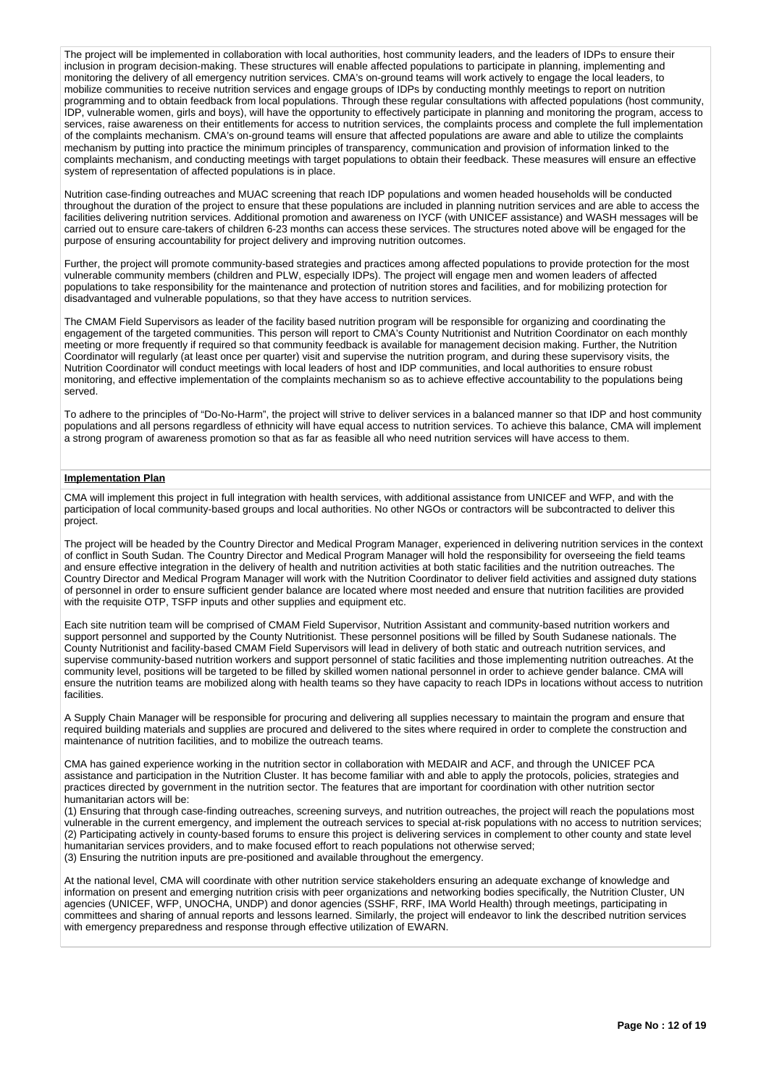The project will be implemented in collaboration with local authorities, host community leaders, and the leaders of IDPs to ensure their inclusion in program decision-making. These structures will enable affected populations to participate in planning, implementing and monitoring the delivery of all emergency nutrition services. CMA's on-ground teams will work actively to engage the local leaders, to mobilize communities to receive nutrition services and engage groups of IDPs by conducting monthly meetings to report on nutrition programming and to obtain feedback from local populations. Through these regular consultations with affected populations (host community, IDP, vulnerable women, girls and boys), will have the opportunity to effectively participate in planning and monitoring the program, access to services, raise awareness on their entitlements for access to nutrition services, the complaints process and complete the full implementation of the complaints mechanism. CMA's on-ground teams will ensure that affected populations are aware and able to utilize the complaints mechanism by putting into practice the minimum principles of transparency, communication and provision of information linked to the complaints mechanism, and conducting meetings with target populations to obtain their feedback. These measures will ensure an effective system of representation of affected populations is in place.

Nutrition case-finding outreaches and MUAC screening that reach IDP populations and women headed households will be conducted throughout the duration of the project to ensure that these populations are included in planning nutrition services and are able to access the facilities delivering nutrition services. Additional promotion and awareness on IYCF (with UNICEF assistance) and WASH messages will be carried out to ensure care-takers of children 6-23 months can access these services. The structures noted above will be engaged for the purpose of ensuring accountability for project delivery and improving nutrition outcomes.

Further, the project will promote community-based strategies and practices among affected populations to provide protection for the most vulnerable community members (children and PLW, especially IDPs). The project will engage men and women leaders of affected populations to take responsibility for the maintenance and protection of nutrition stores and facilities, and for mobilizing protection for disadvantaged and vulnerable populations, so that they have access to nutrition services.

The CMAM Field Supervisors as leader of the facility based nutrition program will be responsible for organizing and coordinating the engagement of the targeted communities. This person will report to CMA's County Nutritionist and Nutrition Coordinator on each monthly meeting or more frequently if required so that community feedback is available for management decision making. Further, the Nutrition Coordinator will regularly (at least once per quarter) visit and supervise the nutrition program, and during these supervisory visits, the Nutrition Coordinator will conduct meetings with local leaders of host and IDP communities, and local authorities to ensure robust monitoring, and effective implementation of the complaints mechanism so as to achieve effective accountability to the populations being served.

To adhere to the principles of "Do-No-Harm", the project will strive to deliver services in a balanced manner so that IDP and host community populations and all persons regardless of ethnicity will have equal access to nutrition services. To achieve this balance, CMA will implement a strong program of awareness promotion so that as far as feasible all who need nutrition services will have access to them.

## **Implementation Plan**

CMA will implement this project in full integration with health services, with additional assistance from UNICEF and WFP, and with the participation of local community-based groups and local authorities. No other NGOs or contractors will be subcontracted to deliver this project.

The project will be headed by the Country Director and Medical Program Manager, experienced in delivering nutrition services in the context of conflict in South Sudan. The Country Director and Medical Program Manager will hold the responsibility for overseeing the field teams and ensure effective integration in the delivery of health and nutrition activities at both static facilities and the nutrition outreaches. The Country Director and Medical Program Manager will work with the Nutrition Coordinator to deliver field activities and assigned duty stations of personnel in order to ensure sufficient gender balance are located where most needed and ensure that nutrition facilities are provided with the requisite OTP, TSFP inputs and other supplies and equipment etc.

Each site nutrition team will be comprised of CMAM Field Supervisor, Nutrition Assistant and community-based nutrition workers and support personnel and supported by the County Nutritionist. These personnel positions will be filled by South Sudanese nationals. The County Nutritionist and facility-based CMAM Field Supervisors will lead in delivery of both static and outreach nutrition services, and supervise community-based nutrition workers and support personnel of static facilities and those implementing nutrition outreaches. At the community level, positions will be targeted to be filled by skilled women national personnel in order to achieve gender balance. CMA will ensure the nutrition teams are mobilized along with health teams so they have capacity to reach IDPs in locations without access to nutrition **facilities** 

A Supply Chain Manager will be responsible for procuring and delivering all supplies necessary to maintain the program and ensure that required building materials and supplies are procured and delivered to the sites where required in order to complete the construction and maintenance of nutrition facilities, and to mobilize the outreach teams.

CMA has gained experience working in the nutrition sector in collaboration with MEDAIR and ACF, and through the UNICEF PCA assistance and participation in the Nutrition Cluster. It has become familiar with and able to apply the protocols, policies, strategies and practices directed by government in the nutrition sector. The features that are important for coordination with other nutrition sector humanitarian actors will be:

(1) Ensuring that through case-finding outreaches, screening surveys, and nutrition outreaches, the project will reach the populations most vulnerable in the current emergency, and implement the outreach services to special at-risk populations with no access to nutrition services; (2) Participating actively in county-based forums to ensure this project is delivering services in complement to other county and state level humanitarian services providers, and to make focused effort to reach populations not otherwise served;

(3) Ensuring the nutrition inputs are pre-positioned and available throughout the emergency.

At the national level, CMA will coordinate with other nutrition service stakeholders ensuring an adequate exchange of knowledge and information on present and emerging nutrition crisis with peer organizations and networking bodies specifically, the Nutrition Cluster, UN agencies (UNICEF, WFP, UNOCHA, UNDP) and donor agencies (SSHF, RRF, IMA World Health) through meetings, participating in committees and sharing of annual reports and lessons learned. Similarly, the project will endeavor to link the described nutrition services with emergency preparedness and response through effective utilization of EWARN.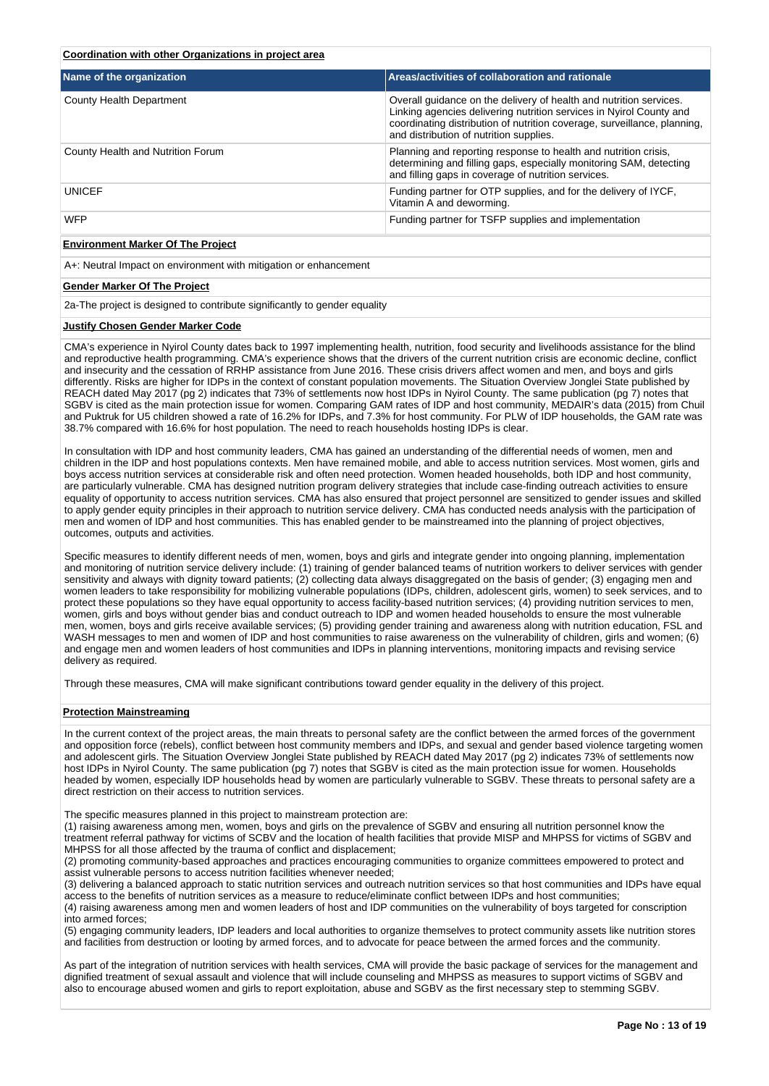# **Coordination with other Organizations in project area**

| Name of the organization                                         | Areas/activities of collaboration and rationale                                                                                                                                                                                                                  |
|------------------------------------------------------------------|------------------------------------------------------------------------------------------------------------------------------------------------------------------------------------------------------------------------------------------------------------------|
| County Health Department                                         | Overall quidance on the delivery of health and nutrition services.<br>Linking agencies delivering nutrition services in Nyirol County and<br>coordinating distribution of nutrition coverage, surveillance, planning,<br>and distribution of nutrition supplies. |
| County Health and Nutrition Forum                                | Planning and reporting response to health and nutrition crisis,<br>determining and filling gaps, especially monitoring SAM, detecting<br>and filling gaps in coverage of nutrition services.                                                                     |
| <b>UNICEF</b>                                                    | Funding partner for OTP supplies, and for the delivery of IYCF,<br>Vitamin A and deworming.                                                                                                                                                                      |
| <b>WFP</b>                                                       | Funding partner for TSFP supplies and implementation                                                                                                                                                                                                             |
| <b>Environment Marker Of The Project</b>                         |                                                                                                                                                                                                                                                                  |
| A+: Neutral Impact on environment with mitigation or enhancement |                                                                                                                                                                                                                                                                  |

#### **Gender Marker Of The Project**

2a-The project is designed to contribute significantly to gender equality

#### **Justify Chosen Gender Marker Code**

CMA's experience in Nyirol County dates back to 1997 implementing health, nutrition, food security and livelihoods assistance for the blind and reproductive health programming. CMA's experience shows that the drivers of the current nutrition crisis are economic decline, conflict and insecurity and the cessation of RRHP assistance from June 2016. These crisis drivers affect women and men, and boys and girls differently. Risks are higher for IDPs in the context of constant population movements. The Situation Overview Jonglei State published by REACH dated May 2017 (pg 2) indicates that 73% of settlements now host IDPs in Nyirol County. The same publication (pg 7) notes that SGBV is cited as the main protection issue for women. Comparing GAM rates of IDP and host community, MEDAIR's data (2015) from Chuil and Puktruk for U5 children showed a rate of 16.2% for IDPs, and 7.3% for host community. For PLW of IDP households, the GAM rate was 38.7% compared with 16.6% for host population. The need to reach households hosting IDPs is clear.

In consultation with IDP and host community leaders, CMA has gained an understanding of the differential needs of women, men and children in the IDP and host populations contexts. Men have remained mobile, and able to access nutrition services. Most women, girls and boys access nutrition services at considerable risk and often need protection. Women headed households, both IDP and host community, are particularly vulnerable. CMA has designed nutrition program delivery strategies that include case-finding outreach activities to ensure equality of opportunity to access nutrition services. CMA has also ensured that project personnel are sensitized to gender issues and skilled to apply gender equity principles in their approach to nutrition service delivery. CMA has conducted needs analysis with the participation of men and women of IDP and host communities. This has enabled gender to be mainstreamed into the planning of project objectives, outcomes, outputs and activities.

Specific measures to identify different needs of men, women, boys and girls and integrate gender into ongoing planning, implementation and monitoring of nutrition service delivery include: (1) training of gender balanced teams of nutrition workers to deliver services with gender sensitivity and always with dignity toward patients; (2) collecting data always disaggregated on the basis of gender; (3) engaging men and women leaders to take responsibility for mobilizing vulnerable populations (IDPs, children, adolescent girls, women) to seek services, and to protect these populations so they have equal opportunity to access facility-based nutrition services; (4) providing nutrition services to men, women, girls and boys without gender bias and conduct outreach to IDP and women headed households to ensure the most vulnerable men, women, boys and girls receive available services; (5) providing gender training and awareness along with nutrition education, FSL and WASH messages to men and women of IDP and host communities to raise awareness on the vulnerability of children, girls and women; (6) and engage men and women leaders of host communities and IDPs in planning interventions, monitoring impacts and revising service delivery as required.

Through these measures, CMA will make significant contributions toward gender equality in the delivery of this project.

#### **Protection Mainstreaming**

In the current context of the project areas, the main threats to personal safety are the conflict between the armed forces of the government and opposition force (rebels), conflict between host community members and IDPs, and sexual and gender based violence targeting women and adolescent girls. The Situation Overview Jonglei State published by REACH dated May 2017 (pg 2) indicates 73% of settlements now host IDPs in Nyirol County. The same publication (pg 7) notes that SGBV is cited as the main protection issue for women. Households headed by women, especially IDP households head by women are particularly vulnerable to SGBV. These threats to personal safety are a direct restriction on their access to nutrition services.

The specific measures planned in this project to mainstream protection are:

(1) raising awareness among men, women, boys and girls on the prevalence of SGBV and ensuring all nutrition personnel know the treatment referral pathway for victims of SCBV and the location of health facilities that provide MISP and MHPSS for victims of SGBV and MHPSS for all those affected by the trauma of conflict and displacement;

(2) promoting community-based approaches and practices encouraging communities to organize committees empowered to protect and assist vulnerable persons to access nutrition facilities whenever needed;

(3) delivering a balanced approach to static nutrition services and outreach nutrition services so that host communities and IDPs have equal access to the benefits of nutrition services as a measure to reduce/eliminate conflict between IDPs and host communities; (4) raising awareness among men and women leaders of host and IDP communities on the vulnerability of boys targeted for conscription

into armed forces; (5) engaging community leaders, IDP leaders and local authorities to organize themselves to protect community assets like nutrition stores and facilities from destruction or looting by armed forces, and to advocate for peace between the armed forces and the community.

As part of the integration of nutrition services with health services, CMA will provide the basic package of services for the management and dignified treatment of sexual assault and violence that will include counseling and MHPSS as measures to support victims of SGBV and also to encourage abused women and girls to report exploitation, abuse and SGBV as the first necessary step to stemming SGBV.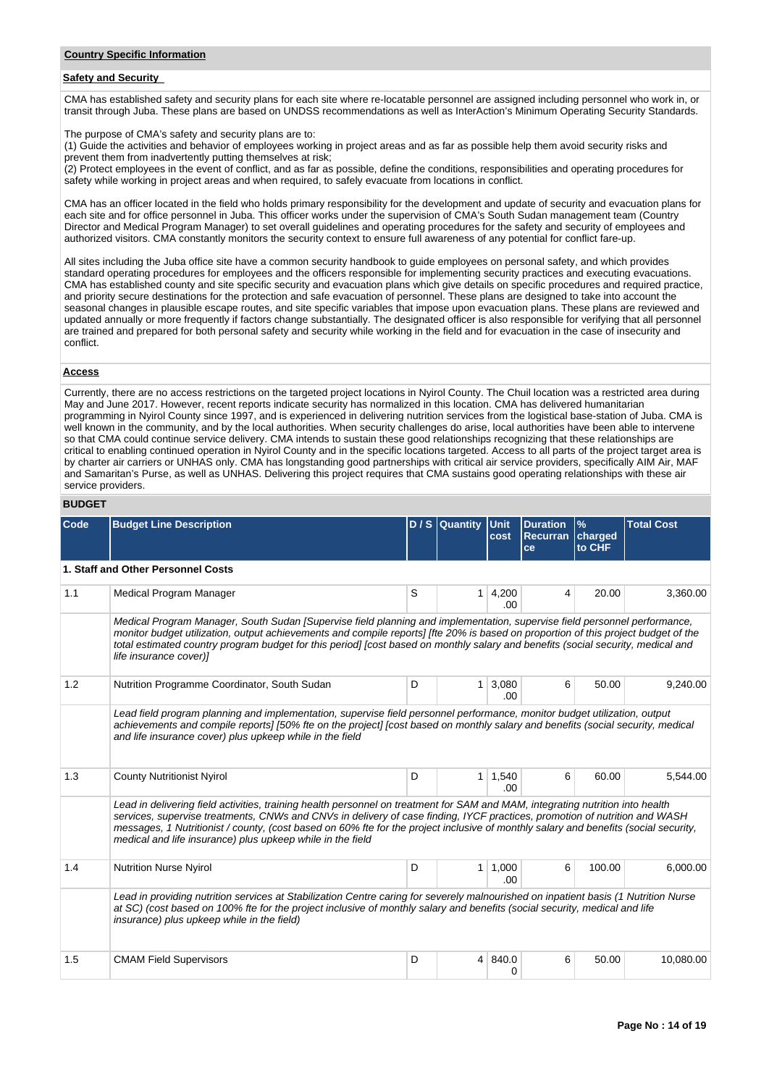# **Safety and Security**

CMA has established safety and security plans for each site where re-locatable personnel are assigned including personnel who work in, or transit through Juba. These plans are based on UNDSS recommendations as well as InterAction's Minimum Operating Security Standards.

The purpose of CMA's safety and security plans are to:

(1) Guide the activities and behavior of employees working in project areas and as far as possible help them avoid security risks and prevent them from inadvertently putting themselves at risk:

(2) Protect employees in the event of conflict, and as far as possible, define the conditions, responsibilities and operating procedures for safety while working in project areas and when required, to safely evacuate from locations in conflict.

CMA has an officer located in the field who holds primary responsibility for the development and update of security and evacuation plans for each site and for office personnel in Juba. This officer works under the supervision of CMA's South Sudan management team (Country Director and Medical Program Manager) to set overall guidelines and operating procedures for the safety and security of employees and authorized visitors. CMA constantly monitors the security context to ensure full awareness of any potential for conflict fare-up.

All sites including the Juba office site have a common security handbook to guide employees on personal safety, and which provides standard operating procedures for employees and the officers responsible for implementing security practices and executing evacuations. CMA has established county and site specific security and evacuation plans which give details on specific procedures and required practice, and priority secure destinations for the protection and safe evacuation of personnel. These plans are designed to take into account the seasonal changes in plausible escape routes, and site specific variables that impose upon evacuation plans. These plans are reviewed and updated annually or more frequently if factors change substantially. The designated officer is also responsible for verifying that all personnel are trained and prepared for both personal safety and security while working in the field and for evacuation in the case of insecurity and conflict.

## **Access**

Currently, there are no access restrictions on the targeted project locations in Nyirol County. The Chuil location was a restricted area during May and June 2017. However, recent reports indicate security has normalized in this location. CMA has delivered humanitarian programming in Nyirol County since 1997, and is experienced in delivering nutrition services from the logistical base-station of Juba. CMA is well known in the community, and by the local authorities. When security challenges do arise, local authorities have been able to intervene so that CMA could continue service delivery. CMA intends to sustain these good relationships recognizing that these relationships are critical to enabling continued operation in Nyirol County and in the specific locations targeted. Access to all parts of the project target area is by charter air carriers or UNHAS only. CMA has longstanding good partnerships with critical air service providers, specifically AIM Air, MAF and Samaritan's Purse, as well as UNHAS. Delivering this project requires that CMA sustains good operating relationships with these air service providers.

# **BUDGET**

| <b>Code</b> | <b>Budget Line Description</b>                                                                                                                                                                                                                                                                                                                                                                                                                                     |   | $D/S$ Quantity | Unit<br>cost  | <b>Duration</b><br><b>Recurran</b><br>ce | $\%$<br>charged<br>to CHF | <b>Total Cost</b> |
|-------------|--------------------------------------------------------------------------------------------------------------------------------------------------------------------------------------------------------------------------------------------------------------------------------------------------------------------------------------------------------------------------------------------------------------------------------------------------------------------|---|----------------|---------------|------------------------------------------|---------------------------|-------------------|
|             | 1. Staff and Other Personnel Costs                                                                                                                                                                                                                                                                                                                                                                                                                                 |   |                |               |                                          |                           |                   |
| 1.1         | Medical Program Manager                                                                                                                                                                                                                                                                                                                                                                                                                                            | S | 1              | 4,200<br>.00  | 4                                        | 20.00                     | 3,360.00          |
|             | Medical Program Manager, South Sudan [Supervise field planning and implementation, supervise field personnel performance,<br>monitor budget utilization, output achievements and compile reports] [fte 20% is based on proportion of this project budget of the<br>total estimated country program budget for this period] [cost based on monthly salary and benefits (social security, medical and<br>life insurance cover)]                                      |   |                |               |                                          |                           |                   |
| 1.2         | Nutrition Programme Coordinator, South Sudan                                                                                                                                                                                                                                                                                                                                                                                                                       | D | 1              | 3,080<br>.00  | 6                                        | 50.00                     | 9,240.00          |
|             | Lead field program planning and implementation, supervise field personnel performance, monitor budget utilization, output<br>achievements and compile reports] [50% fte on the project] [cost based on monthly salary and benefits (social security, medical<br>and life insurance cover) plus upkeep while in the field                                                                                                                                           |   |                |               |                                          |                           |                   |
| 1.3         | <b>County Nutritionist Nyirol</b>                                                                                                                                                                                                                                                                                                                                                                                                                                  | D | 1              | 1,540<br>.00  | 6                                        | 60.00                     | 5.544.00          |
|             | Lead in delivering field activities, training health personnel on treatment for SAM and MAM, integrating nutrition into health<br>services, supervise treatments, CNWs and CNVs in delivery of case finding, IYCF practices, promotion of nutrition and WASH<br>messages, 1 Nutritionist / county, (cost based on 60% fte for the project inclusive of monthly salary and benefits (social security,<br>medical and life insurance) plus upkeep while in the field |   |                |               |                                          |                           |                   |
| 1.4         | Nutrition Nurse Nyirol                                                                                                                                                                                                                                                                                                                                                                                                                                             | D | 1              | 1,000<br>.00. | 6                                        | 100.00                    | 6.000.00          |
|             | Lead in providing nutrition services at Stabilization Centre caring for severely malnourished on inpatient basis (1 Nutrition Nurse<br>at SC) (cost based on 100% fte for the project inclusive of monthly salary and benefits (social security, medical and life<br>insurance) plus upkeep while in the field)                                                                                                                                                    |   |                |               |                                          |                           |                   |
| 1.5         | <b>CMAM Field Supervisors</b>                                                                                                                                                                                                                                                                                                                                                                                                                                      | D | 4              | 840.0<br>0    | 6                                        | 50.00                     | 10,080.00         |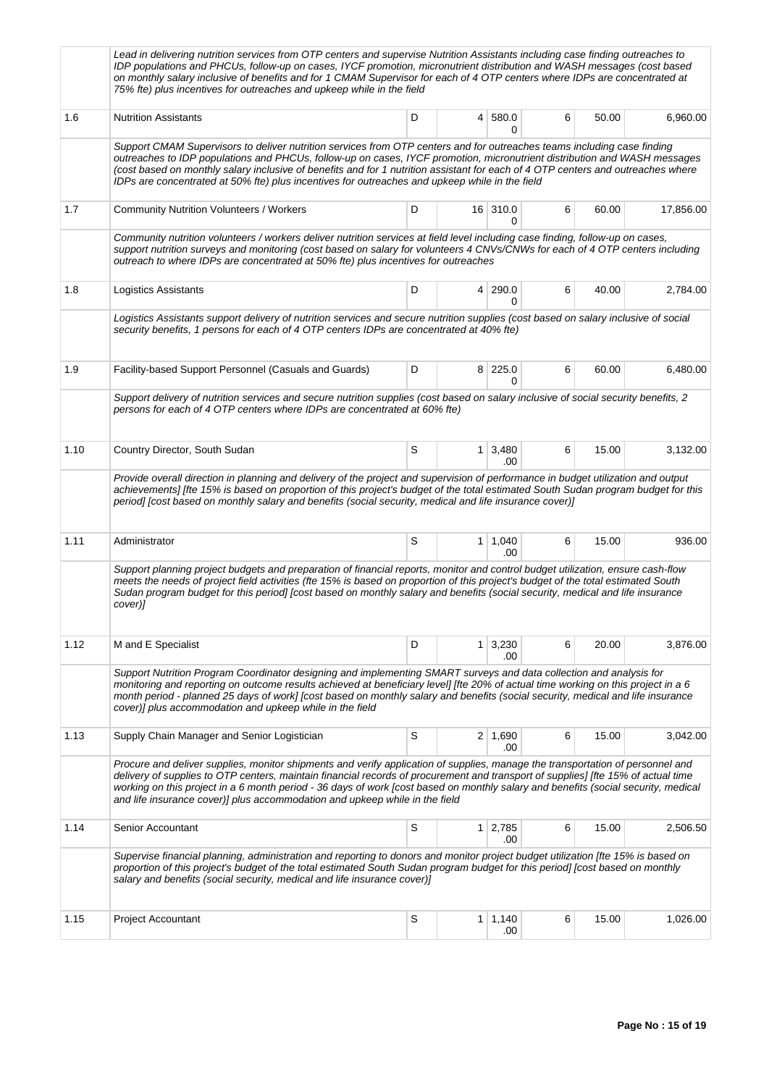|      | Lead in delivering nutrition services from OTP centers and supervise Nutrition Assistants including case finding outreaches to<br>IDP populations and PHCUs, follow-up on cases, IYCF promotion, micronutrient distribution and WASH messages (cost based<br>on monthly salary inclusive of benefits and for 1 CMAM Supervisor for each of 4 OTP centers where IDPs are concentrated at<br>75% fte) plus incentives for outreaches and upkeep while in the field                           |   |                |                              |   |       |           |  |
|------|--------------------------------------------------------------------------------------------------------------------------------------------------------------------------------------------------------------------------------------------------------------------------------------------------------------------------------------------------------------------------------------------------------------------------------------------------------------------------------------------|---|----------------|------------------------------|---|-------|-----------|--|
| 1.6  | <b>Nutrition Assistants</b>                                                                                                                                                                                                                                                                                                                                                                                                                                                                | D | $\overline{4}$ | 580.0<br>0                   | 6 | 50.00 | 6,960.00  |  |
|      | Support CMAM Supervisors to deliver nutrition services from OTP centers and for outreaches teams including case finding<br>outreaches to IDP populations and PHCUs, follow-up on cases, IYCF promotion, micronutrient distribution and WASH messages<br>(cost based on monthly salary inclusive of benefits and for 1 nutrition assistant for each of 4 OTP centers and outreaches where<br>IDPs are concentrated at 50% fte) plus incentives for outreaches and upkeep while in the field |   |                |                              |   |       |           |  |
| 1.7  | <b>Community Nutrition Volunteers / Workers</b>                                                                                                                                                                                                                                                                                                                                                                                                                                            | D |                | 16 310.0<br>0                | 6 | 60.00 | 17,856.00 |  |
|      | Community nutrition volunteers / workers deliver nutrition services at field level including case finding, follow-up on cases,<br>support nutrition surveys and monitoring (cost based on salary for volunteers 4 CNVs/CNWs for each of 4 OTP centers including<br>outreach to where IDPs are concentrated at 50% fte) plus incentives for outreaches                                                                                                                                      |   |                |                              |   |       |           |  |
| 1.8  | Logistics Assistants                                                                                                                                                                                                                                                                                                                                                                                                                                                                       | D | $\overline{4}$ | 290.0<br>0                   | 6 | 40.00 | 2,784.00  |  |
|      | Logistics Assistants support delivery of nutrition services and secure nutrition supplies (cost based on salary inclusive of social<br>security benefits, 1 persons for each of 4 OTP centers IDPs are concentrated at 40% fte)                                                                                                                                                                                                                                                            |   |                |                              |   |       |           |  |
| 1.9  | Facility-based Support Personnel (Casuals and Guards)                                                                                                                                                                                                                                                                                                                                                                                                                                      | D |                | 8 225.0<br>0                 | 6 | 60.00 | 6,480.00  |  |
|      | Support delivery of nutrition services and secure nutrition supplies (cost based on salary inclusive of social security benefits, 2<br>persons for each of 4 OTP centers where IDPs are concentrated at 60% fte)                                                                                                                                                                                                                                                                           |   |                |                              |   |       |           |  |
| 1.10 | Country Director, South Sudan                                                                                                                                                                                                                                                                                                                                                                                                                                                              | S |                | $1 \mid 3,480$<br>.00.       | 6 | 15.00 | 3,132.00  |  |
|      | Provide overall direction in planning and delivery of the project and supervision of performance in budget utilization and output<br>achievements] [fte 15% is based on proportion of this project's budget of the total estimated South Sudan program budget for this<br>period] [cost based on monthly salary and benefits (social security, medical and life insurance cover)]                                                                                                          |   |                |                              |   |       |           |  |
| 1.11 | Administrator                                                                                                                                                                                                                                                                                                                                                                                                                                                                              | S |                | $1 \mid 1,040$<br>.00        | 6 | 15.00 | 936.00    |  |
|      | Support planning project budgets and preparation of financial reports, monitor and control budget utilization, ensure cash-flow<br>meets the needs of project field activities (fte 15% is based on proportion of this project's budget of the total estimated South<br>Sudan program budget for this period] [cost based on monthly salary and benefits (social security, medical and life insurance<br>cover)]                                                                           |   |                |                              |   |       |           |  |
| 1.12 | M and E Specialist                                                                                                                                                                                                                                                                                                                                                                                                                                                                         | D |                | $1 \overline{)3,230}$<br>.00 | 6 | 20.00 | 3,876.00  |  |
|      | Support Nutrition Program Coordinator designing and implementing SMART surveys and data collection and analysis for<br>monitoring and reporting on outcome results achieved at beneficiary level] [fte 20% of actual time working on this project in a 6<br>month period - planned 25 days of work] [cost based on monthly salary and benefits (social security, medical and life insurance<br>cover)] plus accommodation and upkeep while in the field                                    |   |                |                              |   |       |           |  |
| 1.13 | Supply Chain Manager and Senior Logistician                                                                                                                                                                                                                                                                                                                                                                                                                                                | S |                | $2 \mid 1,690$<br>.00        | 6 | 15.00 | 3,042.00  |  |
|      | Procure and deliver supplies, monitor shipments and verify application of supplies, manage the transportation of personnel and<br>delivery of supplies to OTP centers, maintain financial records of procurement and transport of supplies] [fte 15% of actual time<br>working on this project in a 6 month period - 36 days of work [cost based on monthly salary and benefits (social security, medical<br>and life insurance cover)] plus accommodation and upkeep while in the field   |   |                |                              |   |       |           |  |
| 1.14 | Senior Accountant                                                                                                                                                                                                                                                                                                                                                                                                                                                                          | S |                | 1 2,785<br>.00               | 6 | 15.00 | 2,506.50  |  |
|      | Supervise financial planning, administration and reporting to donors and monitor project budget utilization [fte 15% is based on<br>proportion of this project's budget of the total estimated South Sudan program budget for this period] [cost based on monthly<br>salary and benefits (social security, medical and life insurance cover)]                                                                                                                                              |   |                |                              |   |       |           |  |
| 1.15 | <b>Project Accountant</b>                                                                                                                                                                                                                                                                                                                                                                                                                                                                  | S |                | $1 \mid 1,140$<br>.00        | 6 | 15.00 | 1,026.00  |  |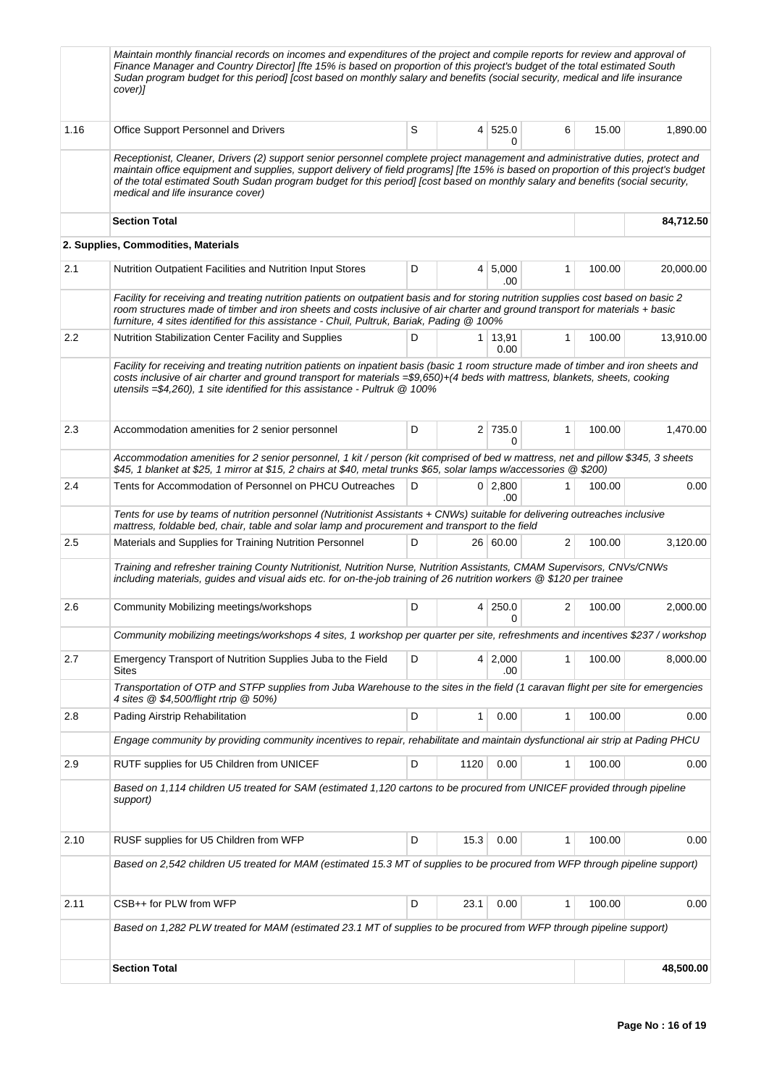| Maintain monthly financial records on incomes and expenditures of the project and compile reports for review and approval of<br>Finance Manager and Country Director] [fte 15% is based on proportion of this project's budget of the total estimated South<br>Sudan program budget for this period] [cost based on monthly salary and benefits (social security, medical and life insurance<br>cover)]                                        |                                                                                                                                 |           |  |  |  |  |  |
|------------------------------------------------------------------------------------------------------------------------------------------------------------------------------------------------------------------------------------------------------------------------------------------------------------------------------------------------------------------------------------------------------------------------------------------------|---------------------------------------------------------------------------------------------------------------------------------|-----------|--|--|--|--|--|
| S<br>Office Support Personnel and Drivers<br>525.0<br>6<br>1.16<br>$\overline{4}$<br>0                                                                                                                                                                                                                                                                                                                                                         | 15.00                                                                                                                           | 1,890.00  |  |  |  |  |  |
| Receptionist, Cleaner, Drivers (2) support senior personnel complete project management and administrative duties, protect and<br>maintain office equipment and supplies, support delivery of field programs] [fte 15% is based on proportion of this project's budget<br>of the total estimated South Sudan program budget for this period] [cost based on monthly salary and benefits (social security,<br>medical and life insurance cover) |                                                                                                                                 |           |  |  |  |  |  |
| <b>Section Total</b>                                                                                                                                                                                                                                                                                                                                                                                                                           |                                                                                                                                 | 84,712.50 |  |  |  |  |  |
| 2. Supplies, Commodities, Materials                                                                                                                                                                                                                                                                                                                                                                                                            |                                                                                                                                 |           |  |  |  |  |  |
| 2.1<br>Nutrition Outpatient Facilities and Nutrition Input Stores<br>D<br>5,000<br>$\mathbf{1}$<br>4<br>.00                                                                                                                                                                                                                                                                                                                                    | 100.00                                                                                                                          | 20,000.00 |  |  |  |  |  |
| Facility for receiving and treating nutrition patients on outpatient basis and for storing nutrition supplies cost based on basic 2<br>room structures made of timber and iron sheets and costs inclusive of air charter and ground transport for materials + basic<br>furniture, 4 sites identified for this assistance - Chuil, Pultruk, Bariak, Pading @ 100%                                                                               |                                                                                                                                 |           |  |  |  |  |  |
| D<br>$\mathbf{1}$<br>2.2<br>Nutrition Stabilization Center Facility and Supplies<br>$1 \mid 13,91$<br>0.00                                                                                                                                                                                                                                                                                                                                     | 100.00                                                                                                                          | 13,910.00 |  |  |  |  |  |
| Facility for receiving and treating nutrition patients on inpatient basis (basic 1 room structure made of timber and iron sheets and<br>costs inclusive of air charter and ground transport for materials =\$9,650)+(4 beds with mattress, blankets, sheets, cooking<br>utensils $=\frac{64}{260}$ , 1 site identified for this assistance - Pultruk $@$ 100%                                                                                  |                                                                                                                                 |           |  |  |  |  |  |
| $2$ 735.0<br>2.3<br>D<br>$\mathbf{1}$<br>Accommodation amenities for 2 senior personnel<br>0                                                                                                                                                                                                                                                                                                                                                   | 100.00                                                                                                                          | 1,470.00  |  |  |  |  |  |
| \$45, 1 blanket at \$25, 1 mirror at \$15, 2 chairs at \$40, metal trunks \$65, solar lamps w/accessories @ \$200)                                                                                                                                                                                                                                                                                                                             | Accommodation amenities for 2 senior personnel, 1 kit / person (kit comprised of bed w mattress, net and pillow \$345, 3 sheets |           |  |  |  |  |  |
| $\mathbf{1}$<br>2.4<br>Tents for Accommodation of Personnel on PHCU Outreaches<br>D<br>$0 \mid 2,800$<br>.00                                                                                                                                                                                                                                                                                                                                   | 100.00                                                                                                                          | 0.00      |  |  |  |  |  |
| Tents for use by teams of nutrition personnel (Nutritionist Assistants + CNWs) suitable for delivering outreaches inclusive<br>mattress, foldable bed, chair, table and solar lamp and procurement and transport to the field                                                                                                                                                                                                                  |                                                                                                                                 |           |  |  |  |  |  |
| D<br>2<br>2.5<br>Materials and Supplies for Training Nutrition Personnel<br>26 60.00                                                                                                                                                                                                                                                                                                                                                           | 100.00                                                                                                                          | 3,120.00  |  |  |  |  |  |
| Training and refresher training County Nutritionist, Nutrition Nurse, Nutrition Assistants, CMAM Supervisors, CNVs/CNWs<br>including materials, guides and visual aids etc. for on-the-job training of 26 nutrition workers @ \$120 per trainee                                                                                                                                                                                                |                                                                                                                                 |           |  |  |  |  |  |
| $\overline{2}$<br>2.6<br>D<br>250.0<br>Community Mobilizing meetings/workshops<br>4<br>0                                                                                                                                                                                                                                                                                                                                                       | 100.00                                                                                                                          | 2,000.00  |  |  |  |  |  |
| Community mobilizing meetings/workshops 4 sites, 1 workshop per quarter per site, refreshments and incentives \$237 / workshop                                                                                                                                                                                                                                                                                                                 |                                                                                                                                 |           |  |  |  |  |  |
| Emergency Transport of Nutrition Supplies Juba to the Field<br>D<br>4 2,000<br>2.7<br>1<br>Sites<br>.00                                                                                                                                                                                                                                                                                                                                        | 100.00                                                                                                                          | 8,000.00  |  |  |  |  |  |
| Transportation of OTP and STFP supplies from Juba Warehouse to the sites in the field (1 caravan flight per site for emergencies<br>4 sites @ \$4,500/flight rtrip @ 50%)                                                                                                                                                                                                                                                                      |                                                                                                                                 |           |  |  |  |  |  |
| Pading Airstrip Rehabilitation<br>D<br>2.8<br>1<br>0.00<br>$\mathbf{1}$                                                                                                                                                                                                                                                                                                                                                                        | 100.00                                                                                                                          | 0.00      |  |  |  |  |  |
| Engage community by providing community incentives to repair, rehabilitate and maintain dysfunctional air strip at Pading PHCU                                                                                                                                                                                                                                                                                                                 |                                                                                                                                 |           |  |  |  |  |  |
| 2.9<br>RUTF supplies for U5 Children from UNICEF<br>D<br>1120<br>0.00<br>1                                                                                                                                                                                                                                                                                                                                                                     | 100.00                                                                                                                          | 0.00      |  |  |  |  |  |
| Based on 1,114 children U5 treated for SAM (estimated 1,120 cartons to be procured from UNICEF provided through pipeline<br>support)                                                                                                                                                                                                                                                                                                           |                                                                                                                                 |           |  |  |  |  |  |
| 2.10<br>RUSF supplies for U5 Children from WFP<br>D<br>15.3<br>0.00<br>1                                                                                                                                                                                                                                                                                                                                                                       | 100.00                                                                                                                          | 0.00      |  |  |  |  |  |
| Based on 2,542 children U5 treated for MAM (estimated 15.3 MT of supplies to be procured from WFP through pipeline support)                                                                                                                                                                                                                                                                                                                    |                                                                                                                                 |           |  |  |  |  |  |
| 2.11<br>CSB++ for PLW from WFP<br>D<br>23.1<br>0.00<br>1                                                                                                                                                                                                                                                                                                                                                                                       | 100.00                                                                                                                          | 0.00      |  |  |  |  |  |
| Based on 1,282 PLW treated for MAM (estimated 23.1 MT of supplies to be procured from WFP through pipeline support)                                                                                                                                                                                                                                                                                                                            |                                                                                                                                 |           |  |  |  |  |  |
| <b>Section Total</b>                                                                                                                                                                                                                                                                                                                                                                                                                           |                                                                                                                                 | 48,500.00 |  |  |  |  |  |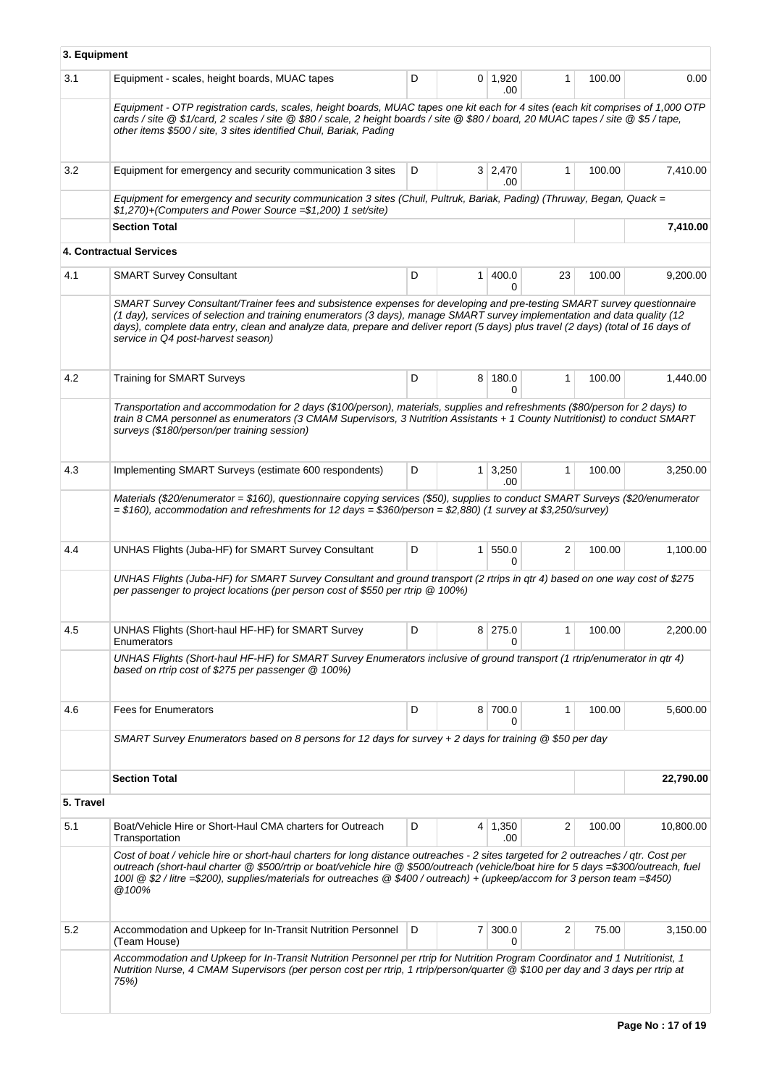| 3. Equipment |                                                                                                                                                                                                                                                                                                                                                                                                                                 |   |                |                       |              |        |           |
|--------------|---------------------------------------------------------------------------------------------------------------------------------------------------------------------------------------------------------------------------------------------------------------------------------------------------------------------------------------------------------------------------------------------------------------------------------|---|----------------|-----------------------|--------------|--------|-----------|
| 3.1          | Equipment - scales, height boards, MUAC tapes                                                                                                                                                                                                                                                                                                                                                                                   | D |                | $0$ 1,920<br>.00      | $\mathbf{1}$ | 100.00 | 0.00      |
|              | Equipment - OTP registration cards, scales, height boards, MUAC tapes one kit each for 4 sites (each kit comprises of 1,000 OTP<br>cards / site @ \$1/card, 2 scales / site @ \$80 / scale, 2 height boards / site @ \$80 / board, 20 MUAC tapes / site @ \$5 / tape,<br>other items \$500 / site, 3 sites identified Chuil, Bariak, Pading                                                                                     |   |                |                       |              |        |           |
| 3.2          | Equipment for emergency and security communication 3 sites                                                                                                                                                                                                                                                                                                                                                                      | D |                | $3 \mid 2.470$<br>.00 | $\mathbf{1}$ | 100.00 | 7,410.00  |
|              | Equipment for emergency and security communication 3 sites (Chuil, Pultruk, Bariak, Pading) (Thruway, Began, Quack =<br>$$1,270$ )+(Computers and Power Source = \$1,200) 1 set/site)                                                                                                                                                                                                                                           |   |                |                       |              |        |           |
|              | <b>Section Total</b>                                                                                                                                                                                                                                                                                                                                                                                                            |   |                |                       |              |        | 7,410.00  |
|              | <b>4. Contractual Services</b>                                                                                                                                                                                                                                                                                                                                                                                                  |   |                |                       |              |        |           |
| 4.1          | <b>SMART Survey Consultant</b>                                                                                                                                                                                                                                                                                                                                                                                                  | D | 1              | 400.0<br><sup>0</sup> | 23           | 100.00 | 9,200.00  |
|              | SMART Survey Consultant/Trainer fees and subsistence expenses for developing and pre-testing SMART survey questionnaire<br>(1 day), services of selection and training enumerators (3 days), manage SMART survey implementation and data quality (12<br>days), complete data entry, clean and analyze data, prepare and deliver report (5 days) plus travel (2 days) (total of 16 days of<br>service in Q4 post-harvest season) |   |                |                       |              |        |           |
| 4.2          | <b>Training for SMART Surveys</b>                                                                                                                                                                                                                                                                                                                                                                                               | D | 8              | 180.0<br>0            | $\mathbf{1}$ | 100.00 | 1,440.00  |
|              | Transportation and accommodation for 2 days (\$100/person), materials, supplies and refreshments (\$80/person for 2 days) to<br>train 8 CMA personnel as enumerators (3 CMAM Supervisors, 3 Nutrition Assistants + 1 County Nutritionist) to conduct SMART<br>surveys (\$180/person/per training session)                                                                                                                       |   |                |                       |              |        |           |
| 4.3          | Implementing SMART Surveys (estimate 600 respondents)                                                                                                                                                                                                                                                                                                                                                                           | D |                | $1 \mid 3,250$<br>.00 | $\mathbf{1}$ | 100.00 | 3,250.00  |
|              | Materials (\$20/enumerator = \$160), questionnaire copying services (\$50), supplies to conduct SMART Surveys (\$20/enumerator<br>$= $160$ ), accommodation and refreshments for 12 days $= $360/person = $2,880$ (1 survey at \$3,250/survey)                                                                                                                                                                                  |   |                |                       |              |        |           |
| 4.4          | UNHAS Flights (Juba-HF) for SMART Survey Consultant                                                                                                                                                                                                                                                                                                                                                                             | D | $\mathbf{1}$   | 550.0<br><sup>0</sup> | 2            | 100.00 | 1,100.00  |
|              | UNHAS Flights (Juba-HF) for SMART Survey Consultant and ground transport (2 rtrips in qtr 4) based on one way cost of \$275<br>per passenger to project locations (per person cost of \$550 per rtrip @ 100%)                                                                                                                                                                                                                   |   |                |                       |              |        |           |
| 4.5          | UNHAS Flights (Short-haul HF-HF) for SMART Survey<br>Enumerators                                                                                                                                                                                                                                                                                                                                                                | D |                | 8 275.0<br>0          | 1            | 100.00 | 2,200.00  |
|              | UNHAS Flights (Short-haul HF-HF) for SMART Survey Enumerators inclusive of ground transport (1 rtrip/enumerator in qtr 4)<br>based on rtrip cost of \$275 per passenger @ 100%)                                                                                                                                                                                                                                                 |   |                |                       |              |        |           |
| 4.6          | <b>Fees for Enumerators</b>                                                                                                                                                                                                                                                                                                                                                                                                     | D |                | 8 700.0<br>0          | 1            | 100.00 | 5,600.00  |
|              | SMART Survey Enumerators based on 8 persons for 12 days for survey + 2 days for training $@$ \$50 per day                                                                                                                                                                                                                                                                                                                       |   |                |                       |              |        |           |
|              | <b>Section Total</b>                                                                                                                                                                                                                                                                                                                                                                                                            |   |                |                       |              |        | 22,790.00 |
| 5. Travel    |                                                                                                                                                                                                                                                                                                                                                                                                                                 |   |                |                       |              |        |           |
| 5.1          | Boat/Vehicle Hire or Short-Haul CMA charters for Outreach<br>Transportation                                                                                                                                                                                                                                                                                                                                                     | D |                | 4 1,350<br>.00        | 2            | 100.00 | 10,800.00 |
|              | Cost of boat / vehicle hire or short-haul charters for long distance outreaches - 2 sites targeted for 2 outreaches / qtr. Cost per<br>outreach (short-haul charter @ \$500/rtrip or boat/vehicle hire @ \$500/outreach (vehicle/boat hire for 5 days =\$300/outreach, fuel<br>100l @ \$2 / litre =\$200), supplies/materials for outreaches @ \$400 / outreach) + (upkeep/accom for 3 person team =\$450)<br>@100%             |   |                |                       |              |        |           |
| 5.2          | Accommodation and Upkeep for In-Transit Nutrition Personnel<br>(Team House)                                                                                                                                                                                                                                                                                                                                                     | D | $\overline{7}$ | 300.0                 | 2            | 75.00  | 3,150.00  |
|              | Accommodation and Upkeep for In-Transit Nutrition Personnel per rtrip for Nutrition Program Coordinator and 1 Nutritionist, 1<br>Nutrition Nurse, 4 CMAM Supervisors (per person cost per rtrip, 1 rtrip/person/quarter @ \$100 per day and 3 days per rtrip at<br>75%)                                                                                                                                                         |   |                |                       |              |        |           |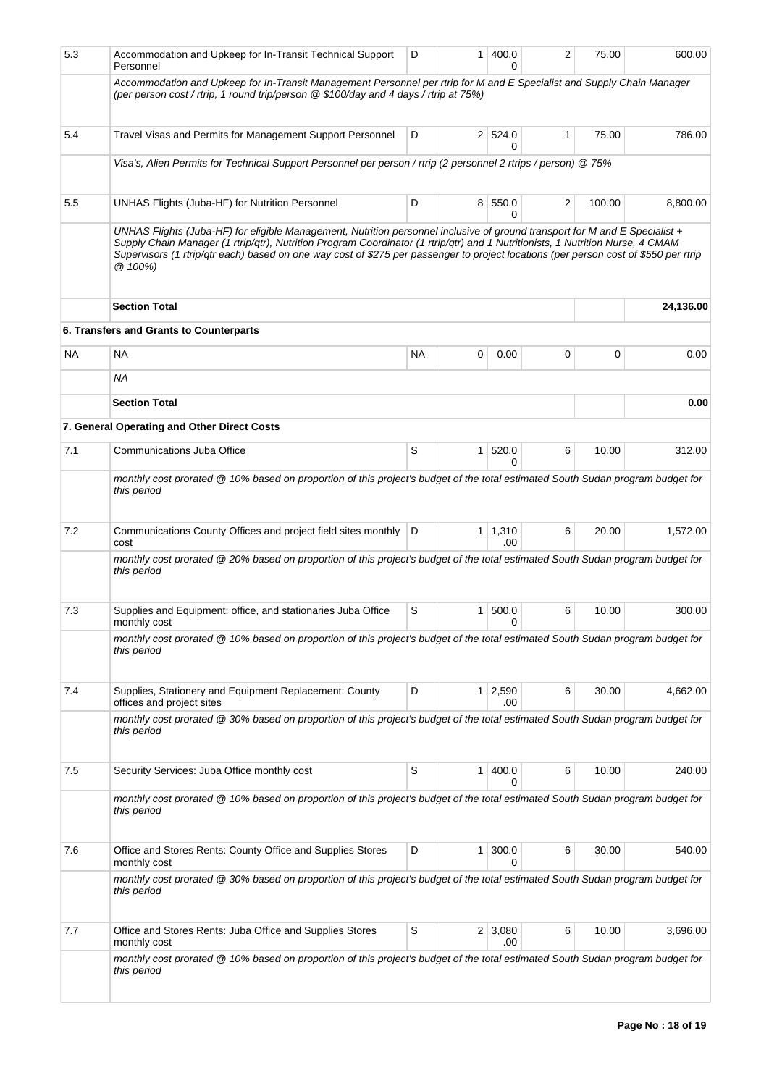| 5.3     | Accommodation and Upkeep for In-Transit Technical Support<br>Personnel                                                                                                                                                                                                                                                                                                                                           | D         | 1            | 400.0<br>0            | 2 | 75.00  | 600.00    |
|---------|------------------------------------------------------------------------------------------------------------------------------------------------------------------------------------------------------------------------------------------------------------------------------------------------------------------------------------------------------------------------------------------------------------------|-----------|--------------|-----------------------|---|--------|-----------|
|         | Accommodation and Upkeep for In-Transit Management Personnel per rtrip for M and E Specialist and Supply Chain Manager<br>(per person cost / rtrip, 1 round trip/person @ \$100/day and 4 days / rtrip at 75%)                                                                                                                                                                                                   |           |              |                       |   |        |           |
| 5.4     | Travel Visas and Permits for Management Support Personnel                                                                                                                                                                                                                                                                                                                                                        | D         |              | 2   524.0<br>0        | 1 | 75.00  | 786.00    |
|         | Visa's, Alien Permits for Technical Support Personnel per person / rtrip (2 personnel 2 rtrips / person) @ 75%                                                                                                                                                                                                                                                                                                   |           |              |                       |   |        |           |
| $5.5\,$ | UNHAS Flights (Juba-HF) for Nutrition Personnel                                                                                                                                                                                                                                                                                                                                                                  | D         |              | 8 550.0<br>0          | 2 | 100.00 | 8,800.00  |
|         | UNHAS Flights (Juba-HF) for eligible Management, Nutrition personnel inclusive of ground transport for M and E Specialist +<br>Supply Chain Manager (1 rtrip/qtr), Nutrition Program Coordinator (1 rtrip/qtr) and 1 Nutritionists, 1 Nutrition Nurse, 4 CMAM<br>Supervisors (1 rtrip/qtr each) based on one way cost of \$275 per passenger to project locations (per person cost of \$550 per rtrip<br>@ 100%) |           |              |                       |   |        |           |
|         | <b>Section Total</b>                                                                                                                                                                                                                                                                                                                                                                                             |           |              |                       |   |        | 24,136.00 |
|         | 6. Transfers and Grants to Counterparts                                                                                                                                                                                                                                                                                                                                                                          |           |              |                       |   |        |           |
| NA.     | <b>NA</b>                                                                                                                                                                                                                                                                                                                                                                                                        | <b>NA</b> | 0            | 0.00                  | 0 | 0      | 0.00      |
|         | ΝA                                                                                                                                                                                                                                                                                                                                                                                                               |           |              |                       |   |        |           |
|         | <b>Section Total</b>                                                                                                                                                                                                                                                                                                                                                                                             |           |              |                       |   |        | 0.00      |
|         | 7. General Operating and Other Direct Costs                                                                                                                                                                                                                                                                                                                                                                      |           |              |                       |   |        |           |
| 7.1     | Communications Juba Office                                                                                                                                                                                                                                                                                                                                                                                       | S         | $\mathbf{1}$ | 520.0<br>0            | 6 | 10.00  | 312.00    |
|         | monthly cost prorated @ 10% based on proportion of this project's budget of the total estimated South Sudan program budget for<br>this period                                                                                                                                                                                                                                                                    |           |              |                       |   |        |           |
| 7.2     | Communications County Offices and project field sites monthly<br>cost                                                                                                                                                                                                                                                                                                                                            | D         | 1            | 1,310<br>.00          | 6 | 20.00  | 1,572.00  |
|         | monthly cost prorated @ 20% based on proportion of this project's budget of the total estimated South Sudan program budget for<br>this period                                                                                                                                                                                                                                                                    |           |              |                       |   |        |           |
| 7.3     | Supplies and Equipment: office, and stationaries Juba Office<br>monthly cost                                                                                                                                                                                                                                                                                                                                     | S         | $\mathbf{1}$ | 500.0<br>0            | 6 | 10.00  | 300.00    |
|         | monthly cost prorated @ 10% based on proportion of this project's budget of the total estimated South Sudan program budget for<br>this period                                                                                                                                                                                                                                                                    |           |              |                       |   |        |           |
| 7.4     | Supplies, Stationery and Equipment Replacement: County<br>offices and project sites                                                                                                                                                                                                                                                                                                                              | D         |              | $1 \mid 2,590$<br>.00 | 6 | 30.00  | 4,662.00  |
|         | monthly cost prorated @ 30% based on proportion of this project's budget of the total estimated South Sudan program budget for<br>this period                                                                                                                                                                                                                                                                    |           |              |                       |   |        |           |
| 7.5     | Security Services: Juba Office monthly cost                                                                                                                                                                                                                                                                                                                                                                      | S         | 1            | 400.0<br>0            | 6 | 10.00  | 240.00    |
|         | monthly cost prorated @ 10% based on proportion of this project's budget of the total estimated South Sudan program budget for<br>this period                                                                                                                                                                                                                                                                    |           |              |                       |   |        |           |
| 7.6     | Office and Stores Rents: County Office and Supplies Stores<br>monthly cost                                                                                                                                                                                                                                                                                                                                       | D         | 1            | 300.0<br>0            | 6 | 30.00  | 540.00    |
|         | monthly cost prorated @ 30% based on proportion of this project's budget of the total estimated South Sudan program budget for<br>this period                                                                                                                                                                                                                                                                    |           |              |                       |   |        |           |
| 7.7     | Office and Stores Rents: Juba Office and Supplies Stores<br>monthly cost                                                                                                                                                                                                                                                                                                                                         | S         |              | $2 \mid 3,080$<br>.00 | 6 | 10.00  | 3,696.00  |
|         | monthly cost prorated @ 10% based on proportion of this project's budget of the total estimated South Sudan program budget for<br>this period                                                                                                                                                                                                                                                                    |           |              |                       |   |        |           |